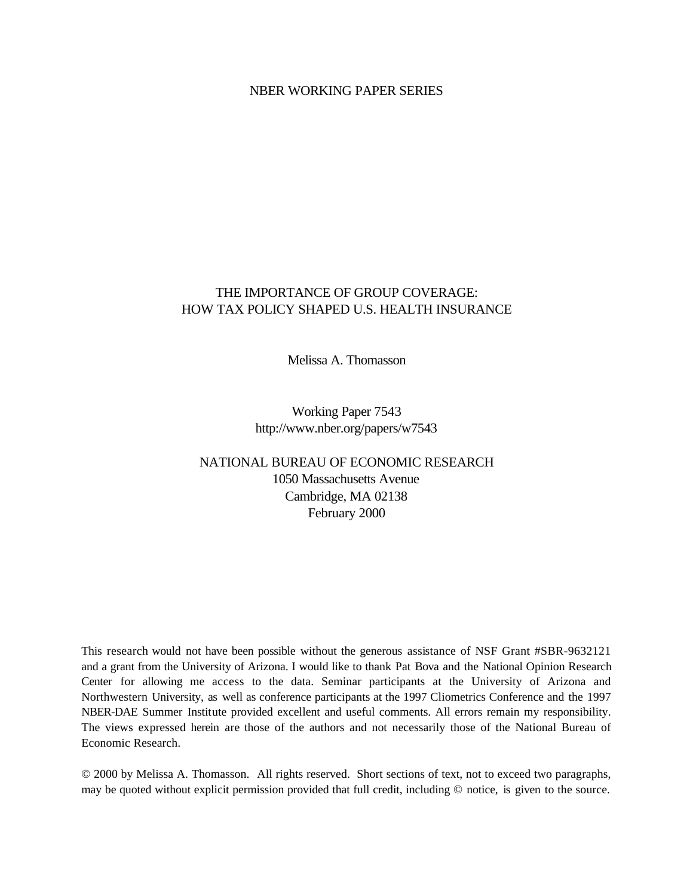#### NBER WORKING PAPER SERIES

## THE IMPORTANCE OF GROUP COVERAGE: HOW TAX POLICY SHAPED U.S. HEALTH INSURANCE

Melissa A. Thomasson

Working Paper 7543 http://www.nber.org/papers/w7543

## NATIONAL BUREAU OF ECONOMIC RESEARCH 1050 Massachusetts Avenue Cambridge, MA 02138 February 2000

This research would not have been possible without the generous assistance of NSF Grant #SBR-9632121 and a grant from the University of Arizona. I would like to thank Pat Bova and the National Opinion Research Center for allowing me access to the data. Seminar participants at the University of Arizona and Northwestern University, as well as conference participants at the 1997 Cliometrics Conference and the 1997 NBER-DAE Summer Institute provided excellent and useful comments. All errors remain my responsibility. The views expressed herein are those of the authors and not necessarily those of the National Bureau of Economic Research.

© 2000 by Melissa A. Thomasson. All rights reserved. Short sections of text, not to exceed two paragraphs, may be quoted without explicit permission provided that full credit, including © notice, is given to the source.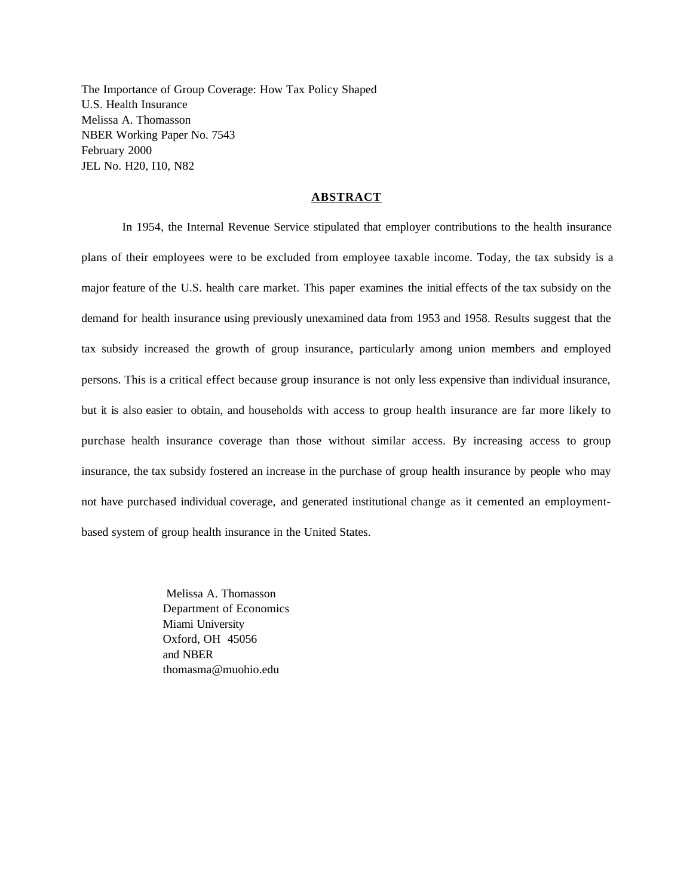The Importance of Group Coverage: How Tax Policy Shaped U.S. Health Insurance Melissa A. Thomasson NBER Working Paper No. 7543 February 2000 JEL No. H20, I10, N82

#### **ABSTRACT**

In 1954, the Internal Revenue Service stipulated that employer contributions to the health insurance plans of their employees were to be excluded from employee taxable income. Today, the tax subsidy is a major feature of the U.S. health care market. This paper examines the initial effects of the tax subsidy on the demand for health insurance using previously unexamined data from 1953 and 1958. Results suggest that the tax subsidy increased the growth of group insurance, particularly among union members and employed persons. This is a critical effect because group insurance is not only less expensive than individual insurance, but it is also easier to obtain, and households with access to group health insurance are far more likely to purchase health insurance coverage than those without similar access. By increasing access to group insurance, the tax subsidy fostered an increase in the purchase of group health insurance by people who may not have purchased individual coverage, and generated institutional change as it cemented an employmentbased system of group health insurance in the United States.

> Melissa A. Thomasson Department of Economics Miami University Oxford, OH 45056 and NBER thomasma@muohio.edu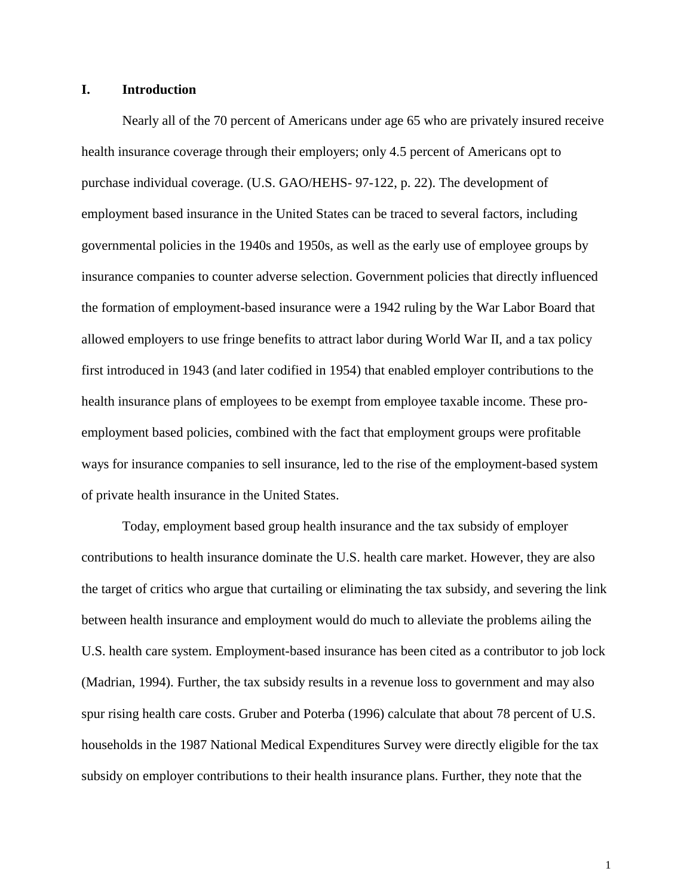### **I. Introduction**

Nearly all of the 70 percent of Americans under age 65 who are privately insured receive health insurance coverage through their employers; only 4.5 percent of Americans opt to purchase individual coverage. (U.S. GAO/HEHS- 97-122, p. 22). The development of employment based insurance in the United States can be traced to several factors, including governmental policies in the 1940s and 1950s, as well as the early use of employee groups by insurance companies to counter adverse selection. Government policies that directly influenced the formation of employment-based insurance were a 1942 ruling by the War Labor Board that allowed employers to use fringe benefits to attract labor during World War II, and a tax policy first introduced in 1943 (and later codified in 1954) that enabled employer contributions to the health insurance plans of employees to be exempt from employee taxable income. These proemployment based policies, combined with the fact that employment groups were profitable ways for insurance companies to sell insurance, led to the rise of the employment-based system of private health insurance in the United States.

Today, employment based group health insurance and the tax subsidy of employer contributions to health insurance dominate the U.S. health care market. However, they are also the target of critics who argue that curtailing or eliminating the tax subsidy, and severing the link between health insurance and employment would do much to alleviate the problems ailing the U.S. health care system. Employment-based insurance has been cited as a contributor to job lock (Madrian, 1994). Further, the tax subsidy results in a revenue loss to government and may also spur rising health care costs. Gruber and Poterba (1996) calculate that about 78 percent of U.S. households in the 1987 National Medical Expenditures Survey were directly eligible for the tax subsidy on employer contributions to their health insurance plans. Further, they note that the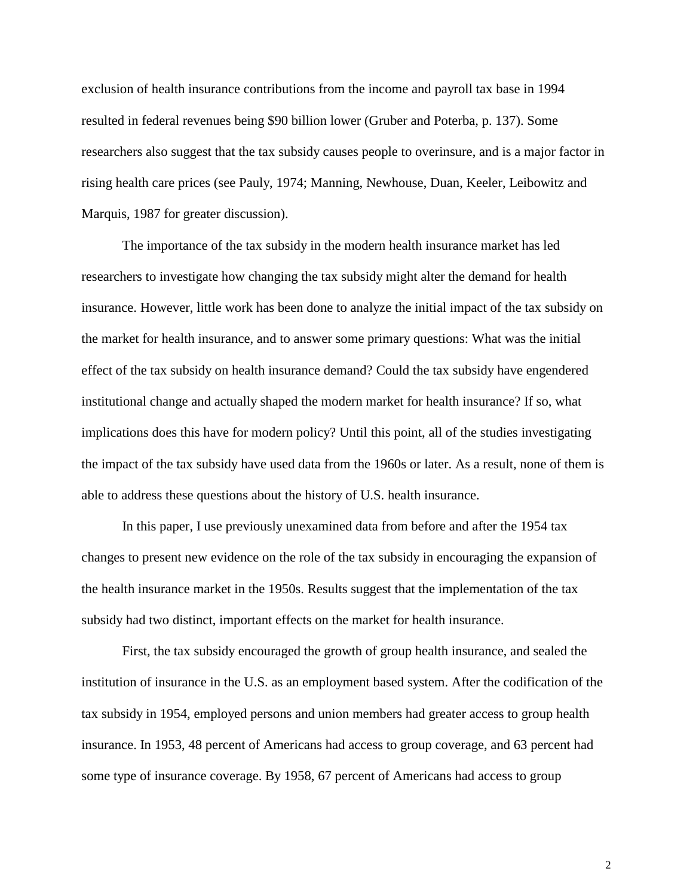exclusion of health insurance contributions from the income and payroll tax base in 1994 resulted in federal revenues being \$90 billion lower (Gruber and Poterba, p. 137). Some researchers also suggest that the tax subsidy causes people to overinsure, and is a major factor in rising health care prices (see Pauly, 1974; Manning, Newhouse, Duan, Keeler, Leibowitz and Marquis, 1987 for greater discussion).

The importance of the tax subsidy in the modern health insurance market has led researchers to investigate how changing the tax subsidy might alter the demand for health insurance. However, little work has been done to analyze the initial impact of the tax subsidy on the market for health insurance, and to answer some primary questions: What was the initial effect of the tax subsidy on health insurance demand? Could the tax subsidy have engendered institutional change and actually shaped the modern market for health insurance? If so, what implications does this have for modern policy? Until this point, all of the studies investigating the impact of the tax subsidy have used data from the 1960s or later. As a result, none of them is able to address these questions about the history of U.S. health insurance.

In this paper, I use previously unexamined data from before and after the 1954 tax changes to present new evidence on the role of the tax subsidy in encouraging the expansion of the health insurance market in the 1950s. Results suggest that the implementation of the tax subsidy had two distinct, important effects on the market for health insurance.

First, the tax subsidy encouraged the growth of group health insurance, and sealed the institution of insurance in the U.S. as an employment based system. After the codification of the tax subsidy in 1954, employed persons and union members had greater access to group health insurance. In 1953, 48 percent of Americans had access to group coverage, and 63 percent had some type of insurance coverage. By 1958, 67 percent of Americans had access to group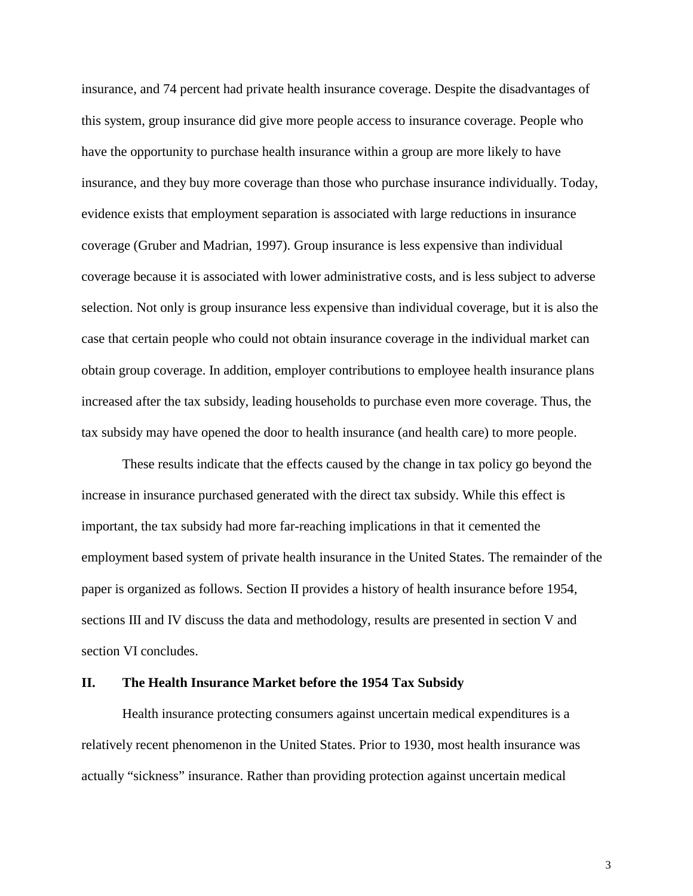insurance, and 74 percent had private health insurance coverage. Despite the disadvantages of this system, group insurance did give more people access to insurance coverage. People who have the opportunity to purchase health insurance within a group are more likely to have insurance, and they buy more coverage than those who purchase insurance individually. Today, evidence exists that employment separation is associated with large reductions in insurance coverage (Gruber and Madrian, 1997). Group insurance is less expensive than individual coverage because it is associated with lower administrative costs, and is less subject to adverse selection. Not only is group insurance less expensive than individual coverage, but it is also the case that certain people who could not obtain insurance coverage in the individual market can obtain group coverage. In addition, employer contributions to employee health insurance plans increased after the tax subsidy, leading households to purchase even more coverage. Thus, the tax subsidy may have opened the door to health insurance (and health care) to more people.

These results indicate that the effects caused by the change in tax policy go beyond the increase in insurance purchased generated with the direct tax subsidy. While this effect is important, the tax subsidy had more far-reaching implications in that it cemented the employment based system of private health insurance in the United States. The remainder of the paper is organized as follows. Section II provides a history of health insurance before 1954, sections III and IV discuss the data and methodology, results are presented in section V and section VI concludes.

### **II. The Health Insurance Market before the 1954 Tax Subsidy**

 Health insurance protecting consumers against uncertain medical expenditures is a relatively recent phenomenon in the United States. Prior to 1930, most health insurance was actually "sickness" insurance. Rather than providing protection against uncertain medical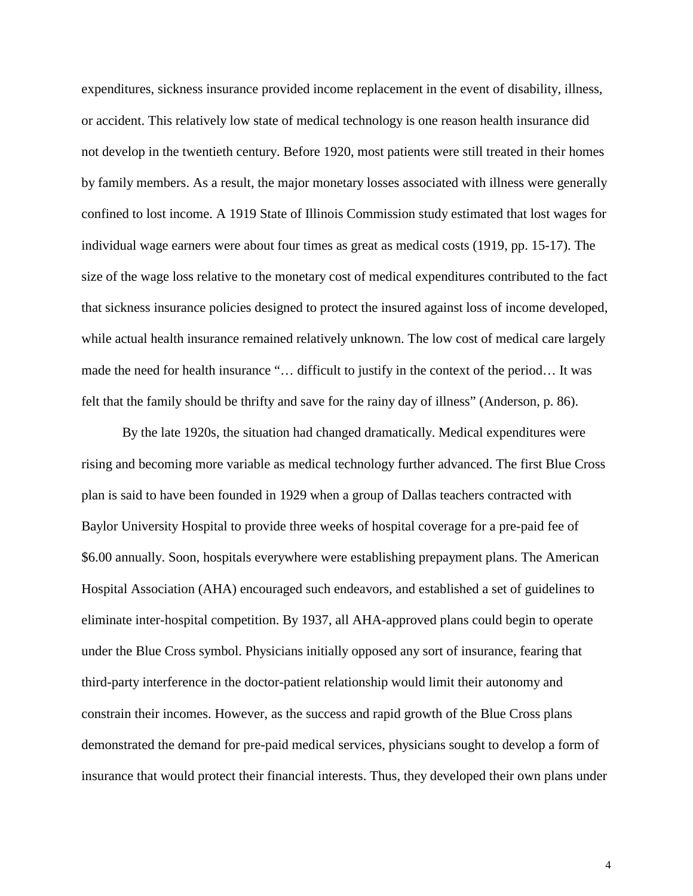expenditures, sickness insurance provided income replacement in the event of disability, illness, or accident. This relatively low state of medical technology is one reason health insurance did not develop in the twentieth century. Before 1920, most patients were still treated in their homes by family members. As a result, the major monetary losses associated with illness were generally confined to lost income. A 1919 State of Illinois Commission study estimated that lost wages for individual wage earners were about four times as great as medical costs (1919, pp. 15-17). The size of the wage loss relative to the monetary cost of medical expenditures contributed to the fact that sickness insurance policies designed to protect the insured against loss of income developed, while actual health insurance remained relatively unknown. The low cost of medical care largely made the need for health insurance "… difficult to justify in the context of the period… It was felt that the family should be thrifty and save for the rainy day of illness" (Anderson, p. 86).

 By the late 1920s, the situation had changed dramatically. Medical expenditures were rising and becoming more variable as medical technology further advanced. The first Blue Cross plan is said to have been founded in 1929 when a group of Dallas teachers contracted with Baylor University Hospital to provide three weeks of hospital coverage for a pre-paid fee of \$6.00 annually. Soon, hospitals everywhere were establishing prepayment plans. The American Hospital Association (AHA) encouraged such endeavors, and established a set of guidelines to eliminate inter-hospital competition. By 1937, all AHA-approved plans could begin to operate under the Blue Cross symbol. Physicians initially opposed any sort of insurance, fearing that third-party interference in the doctor-patient relationship would limit their autonomy and constrain their incomes. However, as the success and rapid growth of the Blue Cross plans demonstrated the demand for pre-paid medical services, physicians sought to develop a form of insurance that would protect their financial interests. Thus, they developed their own plans under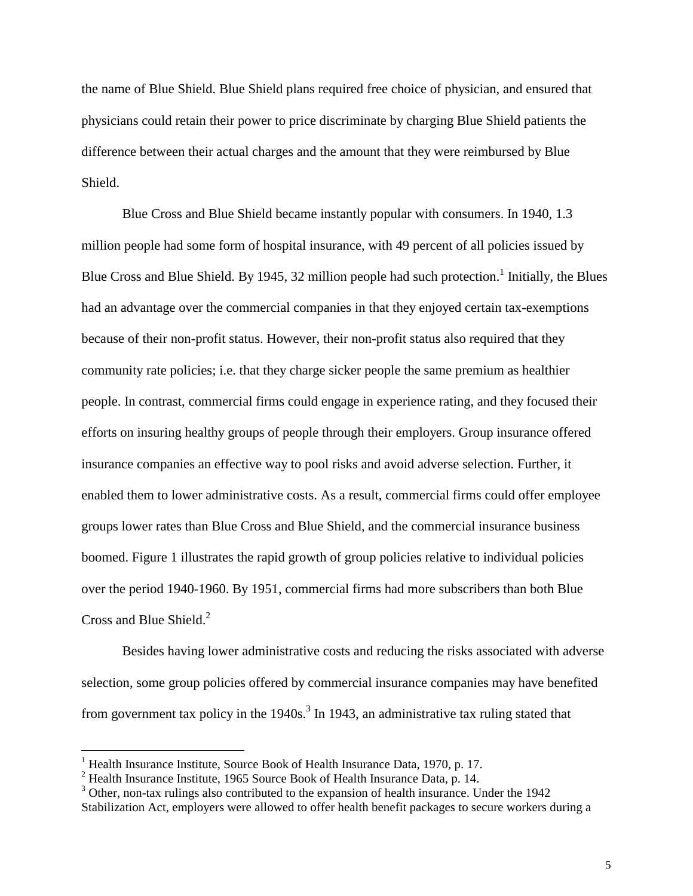the name of Blue Shield. Blue Shield plans required free choice of physician, and ensured that physicians could retain their power to price discriminate by charging Blue Shield patients the difference between their actual charges and the amount that they were reimbursed by Blue Shield.

Blue Cross and Blue Shield became instantly popular with consumers. In 1940, 1.3 million people had some form of hospital insurance, with 49 percent of all policies issued by Blue Cross and Blue Shield. By 1945, 32 million people had such protection.<sup>1</sup> Initially, the Blues had an advantage over the commercial companies in that they enjoyed certain tax-exemptions because of their non-profit status. However, their non-profit status also required that they community rate policies; i.e. that they charge sicker people the same premium as healthier people. In contrast, commercial firms could engage in experience rating, and they focused their efforts on insuring healthy groups of people through their employers. Group insurance offered insurance companies an effective way to pool risks and avoid adverse selection. Further, it enabled them to lower administrative costs. As a result, commercial firms could offer employee groups lower rates than Blue Cross and Blue Shield, and the commercial insurance business boomed. Figure 1 illustrates the rapid growth of group policies relative to individual policies over the period 1940-1960. By 1951, commercial firms had more subscribers than both Blue Cross and Blue Shield.<sup>2</sup>

Besides having lower administrative costs and reducing the risks associated with adverse selection, some group policies offered by commercial insurance companies may have benefited from government tax policy in the 1940s.<sup>3</sup> In 1943, an administrative tax ruling stated that

 $\overline{a}$ 

<sup>1</sup> Health Insurance Institute, Source Book of Health Insurance Data, 1970, p. 17.

<sup>&</sup>lt;sup>2</sup> Health Insurance Institute, 1965 Source Book of Health Insurance Data, p. 14.

<sup>&</sup>lt;sup>3</sup> Other, non-tax rulings also contributed to the expansion of health insurance. Under the 1942 Stabilization Act, employers were allowed to offer health benefit packages to secure workers during a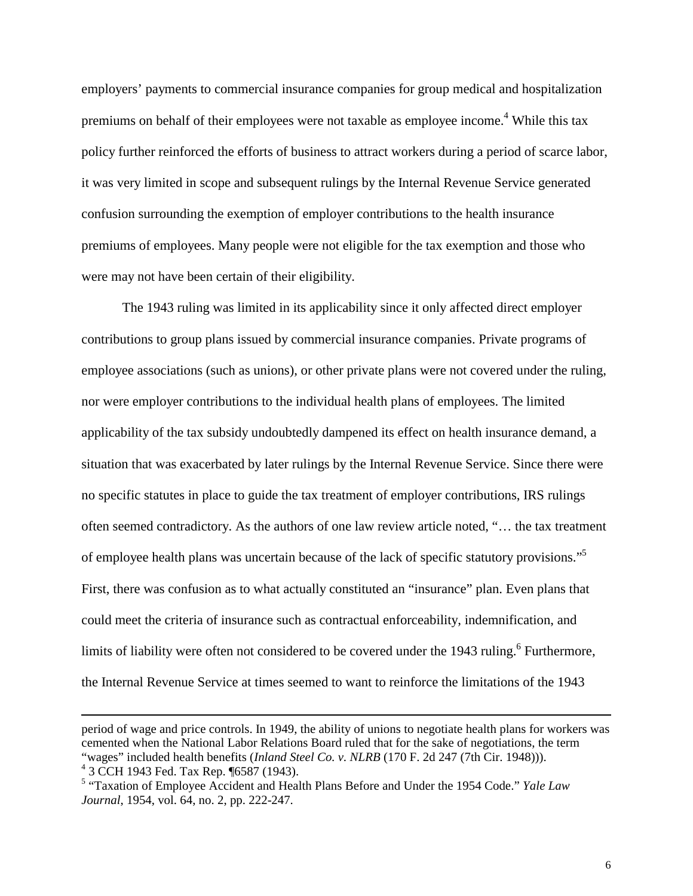employers' payments to commercial insurance companies for group medical and hospitalization premiums on behalf of their employees were not taxable as employee income.<sup>4</sup> While this tax policy further reinforced the efforts of business to attract workers during a period of scarce labor, it was very limited in scope and subsequent rulings by the Internal Revenue Service generated confusion surrounding the exemption of employer contributions to the health insurance premiums of employees. Many people were not eligible for the tax exemption and those who were may not have been certain of their eligibility.

The 1943 ruling was limited in its applicability since it only affected direct employer contributions to group plans issued by commercial insurance companies. Private programs of employee associations (such as unions), or other private plans were not covered under the ruling, nor were employer contributions to the individual health plans of employees. The limited applicability of the tax subsidy undoubtedly dampened its effect on health insurance demand, a situation that was exacerbated by later rulings by the Internal Revenue Service. Since there were no specific statutes in place to guide the tax treatment of employer contributions, IRS rulings often seemed contradictory. As the authors of one law review article noted, "… the tax treatment of employee health plans was uncertain because of the lack of specific statutory provisions."5 First, there was confusion as to what actually constituted an "insurance" plan. Even plans that could meet the criteria of insurance such as contractual enforceability, indemnification, and limits of liability were often not considered to be covered under the 1943 ruling.<sup>6</sup> Furthermore, the Internal Revenue Service at times seemed to want to reinforce the limitations of the 1943

 $\overline{a}$ 

period of wage and price controls. In 1949, the ability of unions to negotiate health plans for workers was cemented when the National Labor Relations Board ruled that for the sake of negotiations, the term "wages" included health benefits (*Inland Steel Co. v. NLRB* (170 F. 2d 247 (7th Cir. 1948))). 4 3 CCH 1943 Fed. Tax Rep. ¶6587 (1943).

<sup>5</sup> "Taxation of Employee Accident and Health Plans Before and Under the 1954 Code." *Yale Law Journal*, 1954, vol. 64, no. 2, pp. 222-247.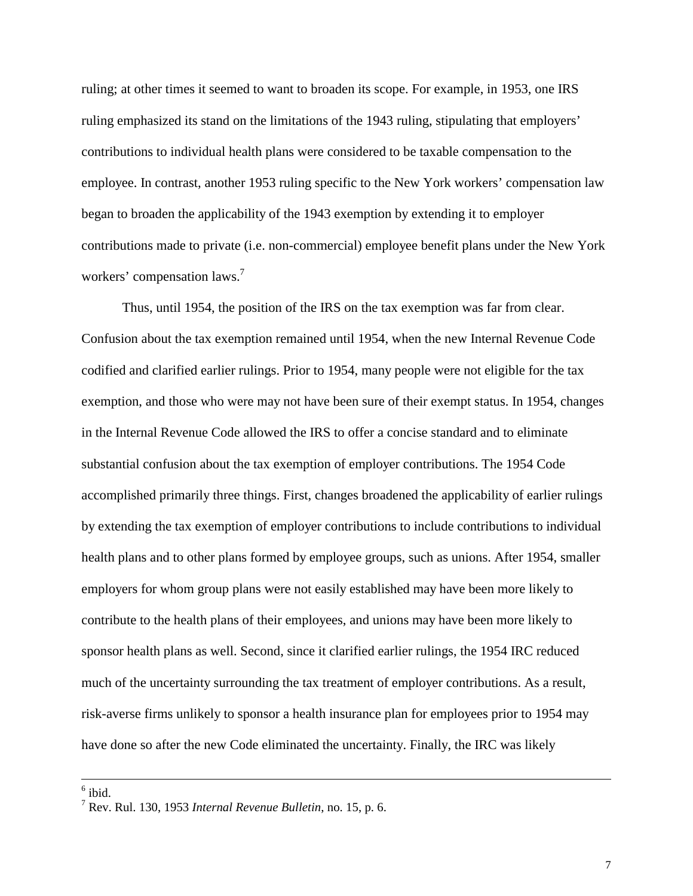ruling; at other times it seemed to want to broaden its scope. For example, in 1953, one IRS ruling emphasized its stand on the limitations of the 1943 ruling, stipulating that employers' contributions to individual health plans were considered to be taxable compensation to the employee. In contrast, another 1953 ruling specific to the New York workers' compensation law began to broaden the applicability of the 1943 exemption by extending it to employer contributions made to private (i.e. non-commercial) employee benefit plans under the New York workers' compensation laws.<sup>7</sup>

Thus, until 1954, the position of the IRS on the tax exemption was far from clear. Confusion about the tax exemption remained until 1954, when the new Internal Revenue Code codified and clarified earlier rulings. Prior to 1954, many people were not eligible for the tax exemption, and those who were may not have been sure of their exempt status. In 1954, changes in the Internal Revenue Code allowed the IRS to offer a concise standard and to eliminate substantial confusion about the tax exemption of employer contributions. The 1954 Code accomplished primarily three things. First, changes broadened the applicability of earlier rulings by extending the tax exemption of employer contributions to include contributions to individual health plans and to other plans formed by employee groups, such as unions. After 1954, smaller employers for whom group plans were not easily established may have been more likely to contribute to the health plans of their employees, and unions may have been more likely to sponsor health plans as well. Second, since it clarified earlier rulings, the 1954 IRC reduced much of the uncertainty surrounding the tax treatment of employer contributions. As a result, risk-averse firms unlikely to sponsor a health insurance plan for employees prior to 1954 may have done so after the new Code eliminated the uncertainty. Finally, the IRC was likely

 6  $6$  ibid.

<sup>7</sup> Rev. Rul. 130, 1953 *Internal Revenue Bulletin*, no. 15, p. 6.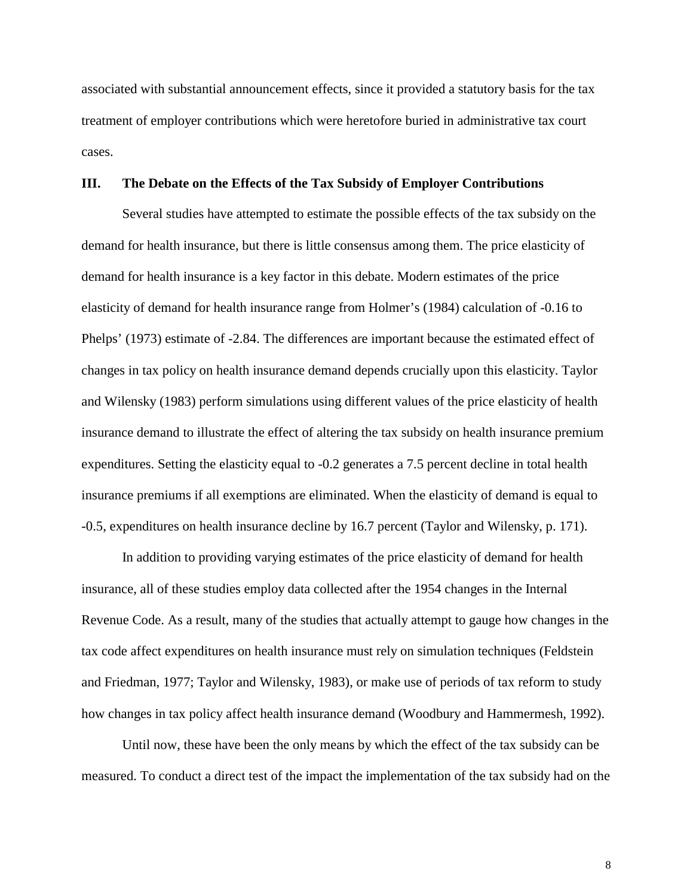associated with substantial announcement effects, since it provided a statutory basis for the tax treatment of employer contributions which were heretofore buried in administrative tax court cases.

#### **III. The Debate on the Effects of the Tax Subsidy of Employer Contributions**

 Several studies have attempted to estimate the possible effects of the tax subsidy on the demand for health insurance, but there is little consensus among them. The price elasticity of demand for health insurance is a key factor in this debate. Modern estimates of the price elasticity of demand for health insurance range from Holmer's (1984) calculation of -0.16 to Phelps' (1973) estimate of -2.84. The differences are important because the estimated effect of changes in tax policy on health insurance demand depends crucially upon this elasticity. Taylor and Wilensky (1983) perform simulations using different values of the price elasticity of health insurance demand to illustrate the effect of altering the tax subsidy on health insurance premium expenditures. Setting the elasticity equal to -0.2 generates a 7.5 percent decline in total health insurance premiums if all exemptions are eliminated. When the elasticity of demand is equal to -0.5, expenditures on health insurance decline by 16.7 percent (Taylor and Wilensky, p. 171).

In addition to providing varying estimates of the price elasticity of demand for health insurance, all of these studies employ data collected after the 1954 changes in the Internal Revenue Code. As a result, many of the studies that actually attempt to gauge how changes in the tax code affect expenditures on health insurance must rely on simulation techniques (Feldstein and Friedman, 1977; Taylor and Wilensky, 1983), or make use of periods of tax reform to study how changes in tax policy affect health insurance demand (Woodbury and Hammermesh, 1992).

Until now, these have been the only means by which the effect of the tax subsidy can be measured. To conduct a direct test of the impact the implementation of the tax subsidy had on the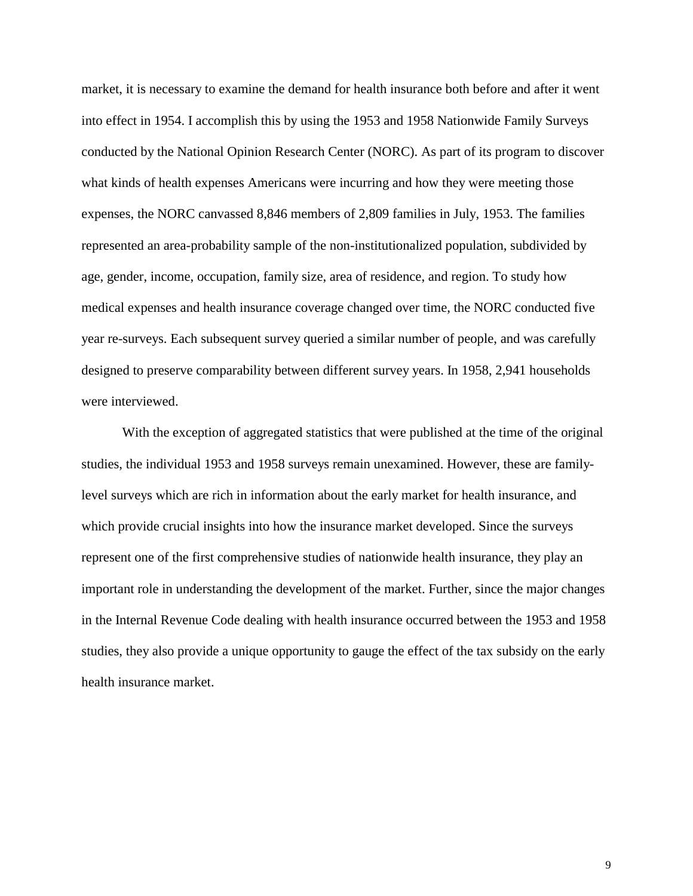market, it is necessary to examine the demand for health insurance both before and after it went into effect in 1954. I accomplish this by using the 1953 and 1958 Nationwide Family Surveys conducted by the National Opinion Research Center (NORC). As part of its program to discover what kinds of health expenses Americans were incurring and how they were meeting those expenses, the NORC canvassed 8,846 members of 2,809 families in July, 1953. The families represented an area-probability sample of the non-institutionalized population, subdivided by age, gender, income, occupation, family size, area of residence, and region. To study how medical expenses and health insurance coverage changed over time, the NORC conducted five year re-surveys. Each subsequent survey queried a similar number of people, and was carefully designed to preserve comparability between different survey years. In 1958, 2,941 households were interviewed.

With the exception of aggregated statistics that were published at the time of the original studies, the individual 1953 and 1958 surveys remain unexamined. However, these are familylevel surveys which are rich in information about the early market for health insurance, and which provide crucial insights into how the insurance market developed. Since the surveys represent one of the first comprehensive studies of nationwide health insurance, they play an important role in understanding the development of the market. Further, since the major changes in the Internal Revenue Code dealing with health insurance occurred between the 1953 and 1958 studies, they also provide a unique opportunity to gauge the effect of the tax subsidy on the early health insurance market.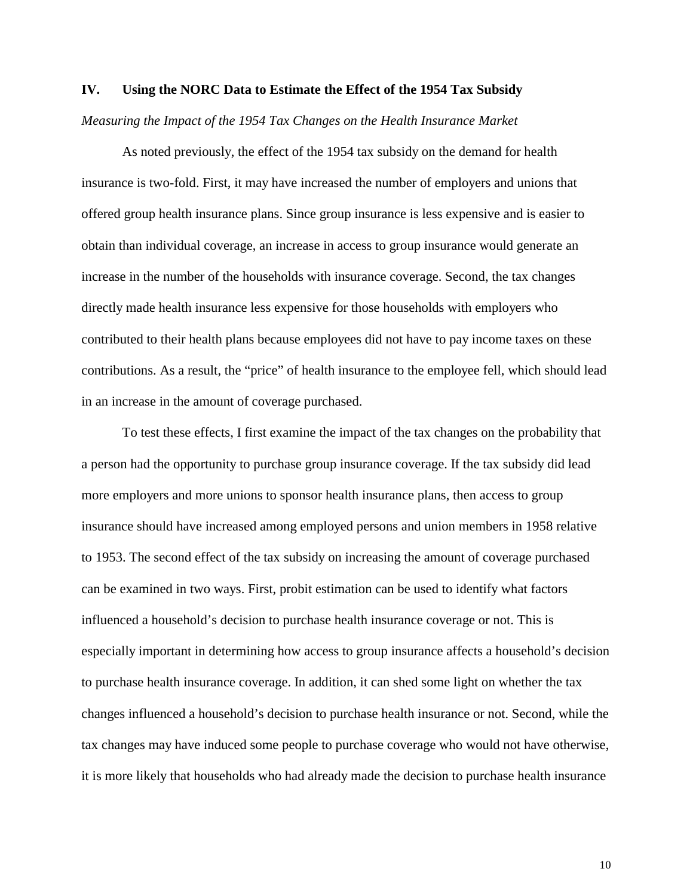#### **IV. Using the NORC Data to Estimate the Effect of the 1954 Tax Subsidy**

*Measuring the Impact of the 1954 Tax Changes on the Health Insurance Market* 

 As noted previously, the effect of the 1954 tax subsidy on the demand for health insurance is two-fold. First, it may have increased the number of employers and unions that offered group health insurance plans. Since group insurance is less expensive and is easier to obtain than individual coverage, an increase in access to group insurance would generate an increase in the number of the households with insurance coverage. Second, the tax changes directly made health insurance less expensive for those households with employers who contributed to their health plans because employees did not have to pay income taxes on these contributions. As a result, the "price" of health insurance to the employee fell, which should lead in an increase in the amount of coverage purchased.

 To test these effects, I first examine the impact of the tax changes on the probability that a person had the opportunity to purchase group insurance coverage. If the tax subsidy did lead more employers and more unions to sponsor health insurance plans, then access to group insurance should have increased among employed persons and union members in 1958 relative to 1953. The second effect of the tax subsidy on increasing the amount of coverage purchased can be examined in two ways. First, probit estimation can be used to identify what factors influenced a household's decision to purchase health insurance coverage or not. This is especially important in determining how access to group insurance affects a household's decision to purchase health insurance coverage. In addition, it can shed some light on whether the tax changes influenced a household's decision to purchase health insurance or not. Second, while the tax changes may have induced some people to purchase coverage who would not have otherwise, it is more likely that households who had already made the decision to purchase health insurance

10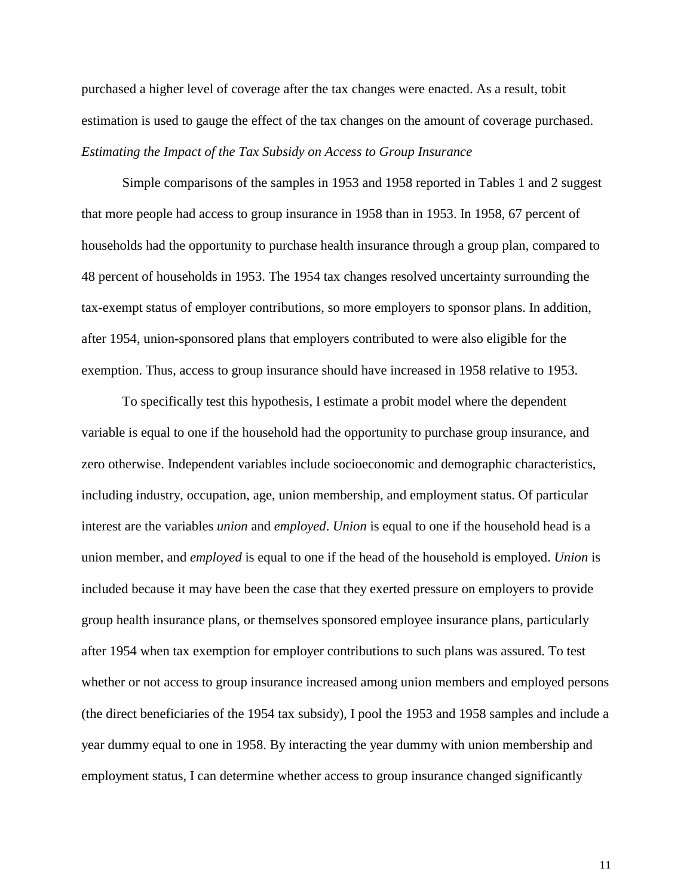purchased a higher level of coverage after the tax changes were enacted. As a result, tobit estimation is used to gauge the effect of the tax changes on the amount of coverage purchased. *Estimating the Impact of the Tax Subsidy on Access to Group Insurance* 

 Simple comparisons of the samples in 1953 and 1958 reported in Tables 1 and 2 suggest that more people had access to group insurance in 1958 than in 1953. In 1958, 67 percent of households had the opportunity to purchase health insurance through a group plan, compared to 48 percent of households in 1953. The 1954 tax changes resolved uncertainty surrounding the tax-exempt status of employer contributions, so more employers to sponsor plans. In addition, after 1954, union-sponsored plans that employers contributed to were also eligible for the exemption. Thus, access to group insurance should have increased in 1958 relative to 1953.

To specifically test this hypothesis, I estimate a probit model where the dependent variable is equal to one if the household had the opportunity to purchase group insurance, and zero otherwise. Independent variables include socioeconomic and demographic characteristics, including industry, occupation, age, union membership, and employment status. Of particular interest are the variables *union* and *employed*. *Union* is equal to one if the household head is a union member, and *employed* is equal to one if the head of the household is employed. *Union* is included because it may have been the case that they exerted pressure on employers to provide group health insurance plans, or themselves sponsored employee insurance plans, particularly after 1954 when tax exemption for employer contributions to such plans was assured. To test whether or not access to group insurance increased among union members and employed persons (the direct beneficiaries of the 1954 tax subsidy), I pool the 1953 and 1958 samples and include a year dummy equal to one in 1958. By interacting the year dummy with union membership and employment status, I can determine whether access to group insurance changed significantly

11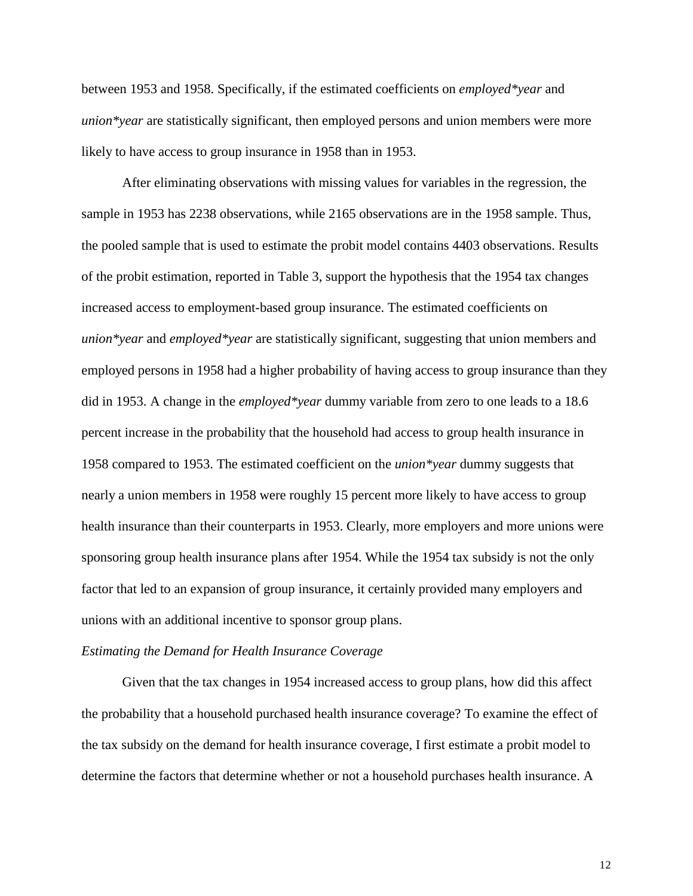between 1953 and 1958. Specifically, if the estimated coefficients on *employed\*year* and *union\*year* are statistically significant, then employed persons and union members were more likely to have access to group insurance in 1958 than in 1953.

After eliminating observations with missing values for variables in the regression, the sample in 1953 has 2238 observations, while 2165 observations are in the 1958 sample. Thus, the pooled sample that is used to estimate the probit model contains 4403 observations. Results of the probit estimation, reported in Table 3, support the hypothesis that the 1954 tax changes increased access to employment-based group insurance. The estimated coefficients on *union\*year* and *employed\*year* are statistically significant, suggesting that union members and employed persons in 1958 had a higher probability of having access to group insurance than they did in 1953. A change in the *employed\*year* dummy variable from zero to one leads to a 18.6 percent increase in the probability that the household had access to group health insurance in 1958 compared to 1953. The estimated coefficient on the *union\*year* dummy suggests that nearly a union members in 1958 were roughly 15 percent more likely to have access to group health insurance than their counterparts in 1953. Clearly, more employers and more unions were sponsoring group health insurance plans after 1954. While the 1954 tax subsidy is not the only factor that led to an expansion of group insurance, it certainly provided many employers and unions with an additional incentive to sponsor group plans.

#### *Estimating the Demand for Health Insurance Coverage*

Given that the tax changes in 1954 increased access to group plans, how did this affect the probability that a household purchased health insurance coverage? To examine the effect of the tax subsidy on the demand for health insurance coverage, I first estimate a probit model to determine the factors that determine whether or not a household purchases health insurance. A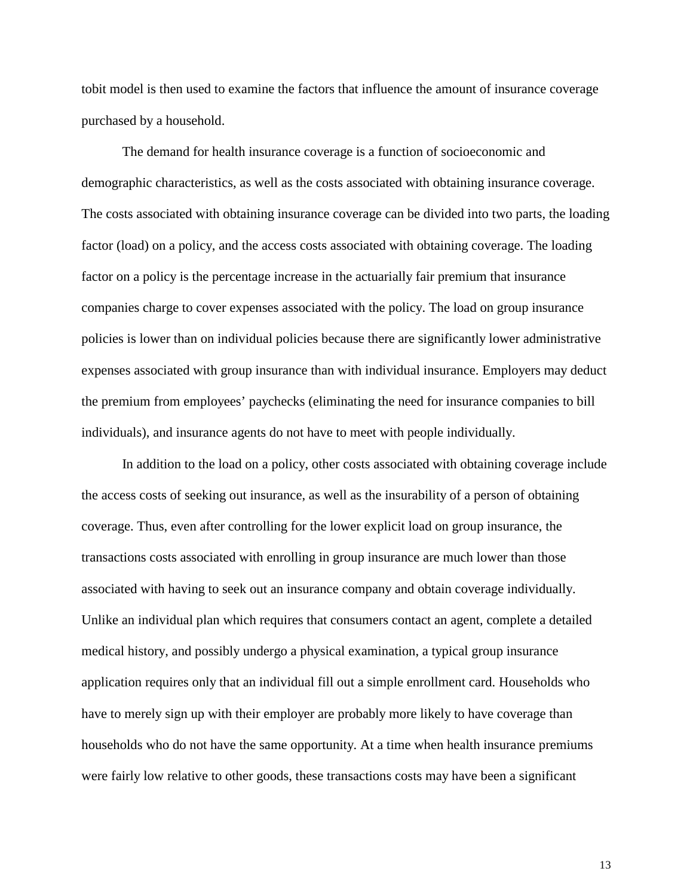tobit model is then used to examine the factors that influence the amount of insurance coverage purchased by a household.

The demand for health insurance coverage is a function of socioeconomic and demographic characteristics, as well as the costs associated with obtaining insurance coverage. The costs associated with obtaining insurance coverage can be divided into two parts, the loading factor (load) on a policy, and the access costs associated with obtaining coverage. The loading factor on a policy is the percentage increase in the actuarially fair premium that insurance companies charge to cover expenses associated with the policy. The load on group insurance policies is lower than on individual policies because there are significantly lower administrative expenses associated with group insurance than with individual insurance. Employers may deduct the premium from employees' paychecks (eliminating the need for insurance companies to bill individuals), and insurance agents do not have to meet with people individually.

In addition to the load on a policy, other costs associated with obtaining coverage include the access costs of seeking out insurance, as well as the insurability of a person of obtaining coverage. Thus, even after controlling for the lower explicit load on group insurance, the transactions costs associated with enrolling in group insurance are much lower than those associated with having to seek out an insurance company and obtain coverage individually. Unlike an individual plan which requires that consumers contact an agent, complete a detailed medical history, and possibly undergo a physical examination, a typical group insurance application requires only that an individual fill out a simple enrollment card. Households who have to merely sign up with their employer are probably more likely to have coverage than households who do not have the same opportunity. At a time when health insurance premiums were fairly low relative to other goods, these transactions costs may have been a significant

13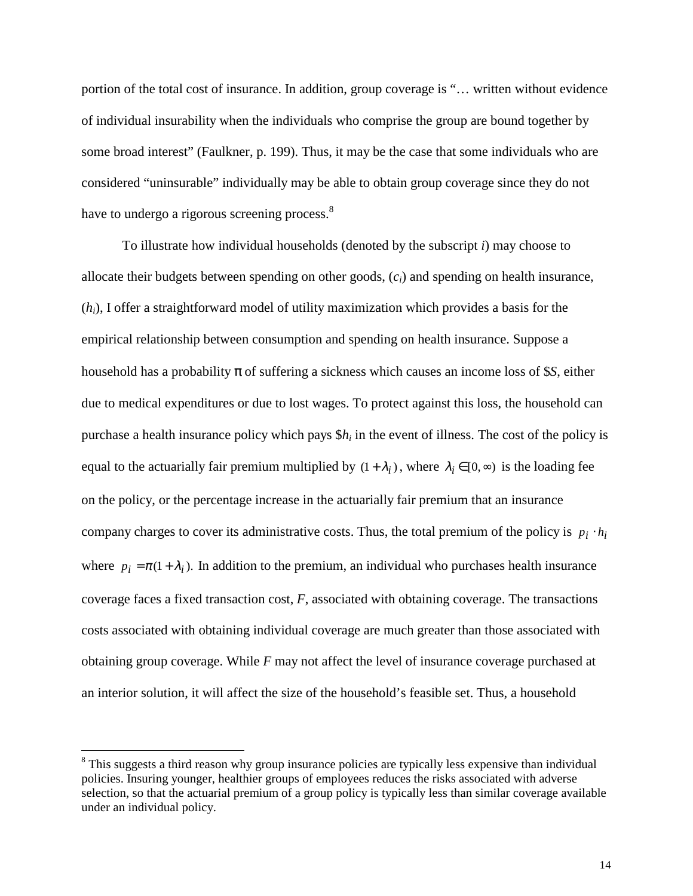portion of the total cost of insurance. In addition, group coverage is "… written without evidence of individual insurability when the individuals who comprise the group are bound together by some broad interest" (Faulkner, p. 199). Thus, it may be the case that some individuals who are considered "uninsurable" individually may be able to obtain group coverage since they do not have to undergo a rigorous screening process.<sup>8</sup>

To illustrate how individual households (denoted by the subscript *i*) may choose to allocate their budgets between spending on other goods, (*ci*) and spending on health insurance, (*hi*), I offer a straightforward model of utility maximization which provides a basis for the empirical relationship between consumption and spending on health insurance. Suppose a household has a probability π of suffering a sickness which causes an income loss of \$*S*, either due to medical expenditures or due to lost wages. To protect against this loss, the household can purchase a health insurance policy which pays \$*hi* in the event of illness. The cost of the policy is equal to the actuarially fair premium multiplied by  $(1 + \lambda_i)$ , where  $\lambda_i \in [0, \infty)$  is the loading fee on the policy, or the percentage increase in the actuarially fair premium that an insurance company charges to cover its administrative costs. Thus, the total premium of the policy is  $p_i \cdot h_i$ where  $p_i = \pi (1 + \lambda_i)$ . In addition to the premium, an individual who purchases health insurance coverage faces a fixed transaction cost, *F*, associated with obtaining coverage. The transactions costs associated with obtaining individual coverage are much greater than those associated with obtaining group coverage. While *F* may not affect the level of insurance coverage purchased at an interior solution, it will affect the size of the household's feasible set. Thus, a household

 $\overline{a}$ 

<sup>&</sup>lt;sup>8</sup> This suggests a third reason why group insurance policies are typically less expensive than individual policies. Insuring younger, healthier groups of employees reduces the risks associated with adverse selection, so that the actuarial premium of a group policy is typically less than similar coverage available under an individual policy.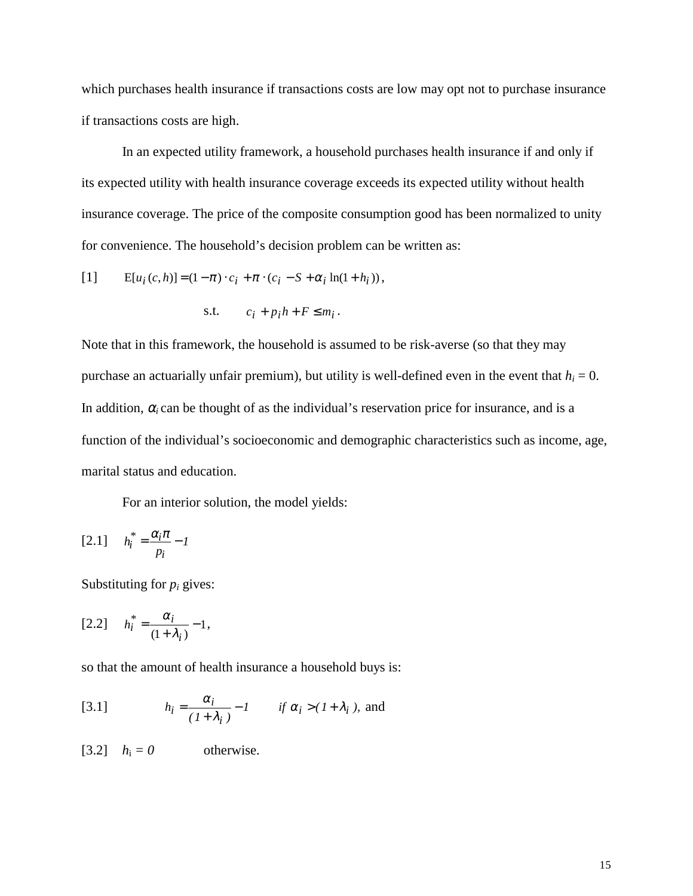which purchases health insurance if transactions costs are low may opt not to purchase insurance if transactions costs are high.

In an expected utility framework, a household purchases health insurance if and only if its expected utility with health insurance coverage exceeds its expected utility without health insurance coverage. The price of the composite consumption good has been normalized to unity for convenience. The household's decision problem can be written as:

[1] 
$$
E[u_i(c, h)] = (1 - \pi) \cdot c_i + \pi \cdot (c_i - S + \alpha_i \ln(1 + h_i)),
$$

$$
s.t. \t c_i + p_i h + F \le m_i.
$$

Note that in this framework, the household is assumed to be risk-averse (so that they may purchase an actuarially unfair premium), but utility is well-defined even in the event that  $h_i = 0$ . In addition,  $\alpha_i$  can be thought of as the individual's reservation price for insurance, and is a function of the individual's socioeconomic and demographic characteristics such as income, age, marital status and education.

For an interior solution, the model yields:

$$
[2.1] \qquad h_i^* = \frac{\alpha_i \pi}{p_i} - 1
$$

Substituting for *pi* gives:

$$
[2.2] \quad h_i^* = \frac{\alpha_i}{(1 + \lambda_i)} - 1,
$$

so that the amount of health insurance a household buys is:

[3.1] 
$$
h_i = \frac{\alpha_i}{(1 + \lambda_i)} - 1 \quad \text{if } \alpha_i > (1 + \lambda_i), \text{ and}
$$

$$
[3.2] \quad h_i = 0 \qquad \text{otherwise.}
$$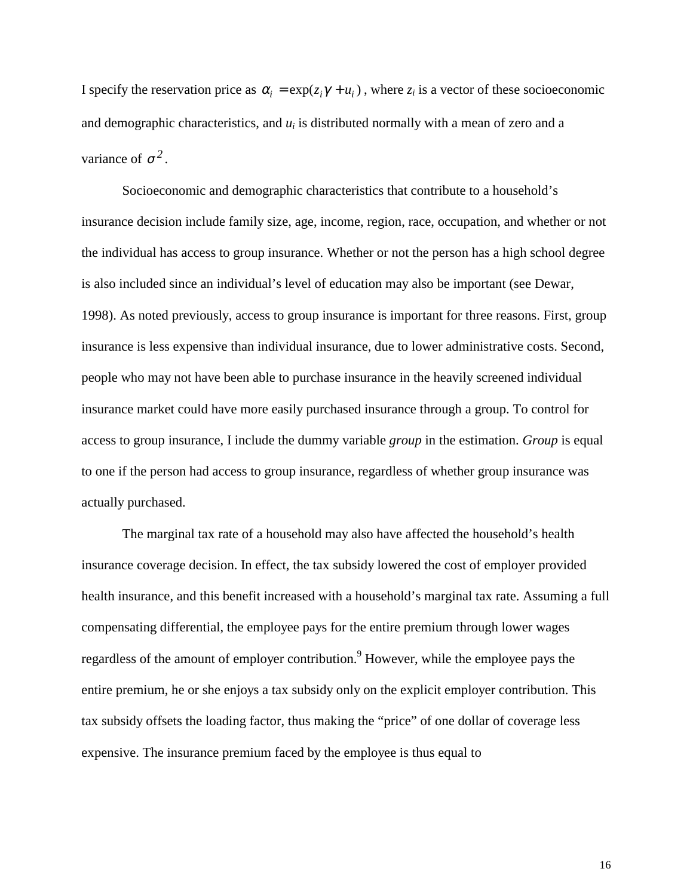I specify the reservation price as  $\alpha_i = \exp(z_i \gamma + u_i)$ , where  $z_i$  is a vector of these socioeconomic and demographic characteristics, and *ui* is distributed normally with a mean of zero and a variance of  $\sigma^2$ .

Socioeconomic and demographic characteristics that contribute to a household's insurance decision include family size, age, income, region, race, occupation, and whether or not the individual has access to group insurance. Whether or not the person has a high school degree is also included since an individual's level of education may also be important (see Dewar, 1998). As noted previously, access to group insurance is important for three reasons. First, group insurance is less expensive than individual insurance, due to lower administrative costs. Second, people who may not have been able to purchase insurance in the heavily screened individual insurance market could have more easily purchased insurance through a group. To control for access to group insurance, I include the dummy variable *group* in the estimation. *Group* is equal to one if the person had access to group insurance, regardless of whether group insurance was actually purchased.

The marginal tax rate of a household may also have affected the household's health insurance coverage decision. In effect, the tax subsidy lowered the cost of employer provided health insurance, and this benefit increased with a household's marginal tax rate. Assuming a full compensating differential, the employee pays for the entire premium through lower wages regardless of the amount of employer contribution.<sup>9</sup> However, while the employee pays the entire premium, he or she enjoys a tax subsidy only on the explicit employer contribution. This tax subsidy offsets the loading factor, thus making the "price" of one dollar of coverage less expensive. The insurance premium faced by the employee is thus equal to

16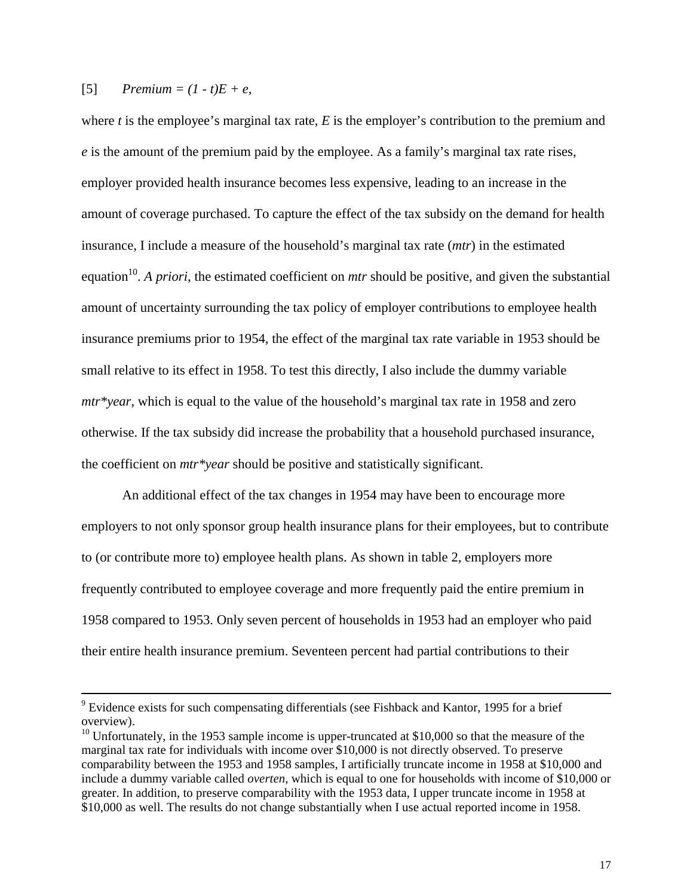### [5] *Premium =*  $(1 - t)E + e$ *,*

where *t* is the employee's marginal tax rate, *E* is the employer's contribution to the premium and *e* is the amount of the premium paid by the employee. As a family's marginal tax rate rises, employer provided health insurance becomes less expensive, leading to an increase in the amount of coverage purchased. To capture the effect of the tax subsidy on the demand for health insurance, I include a measure of the household's marginal tax rate (*mtr*) in the estimated equation<sup>10</sup>. A *priori*, the estimated coefficient on *mtr* should be positive, and given the substantial amount of uncertainty surrounding the tax policy of employer contributions to employee health insurance premiums prior to 1954, the effect of the marginal tax rate variable in 1953 should be small relative to its effect in 1958. To test this directly, I also include the dummy variable *mtr\*year*, which is equal to the value of the household's marginal tax rate in 1958 and zero otherwise. If the tax subsidy did increase the probability that a household purchased insurance, the coefficient on *mtr\*year* should be positive and statistically significant.

An additional effect of the tax changes in 1954 may have been to encourage more employers to not only sponsor group health insurance plans for their employees, but to contribute to (or contribute more to) employee health plans. As shown in table 2, employers more frequently contributed to employee coverage and more frequently paid the entire premium in 1958 compared to 1953. Only seven percent of households in 1953 had an employer who paid their entire health insurance premium. Seventeen percent had partial contributions to their

<sup>-&</sup>lt;br>9 <sup>9</sup> Evidence exists for such compensating differentials (see Fishback and Kantor, 1995 for a brief overview).

 $10$  Unfortunately, in the 1953 sample income is upper-truncated at \$10,000 so that the measure of the marginal tax rate for individuals with income over \$10,000 is not directly observed. To preserve comparability between the 1953 and 1958 samples, I artificially truncate income in 1958 at \$10,000 and include a dummy variable called *overten*, which is equal to one for households with income of \$10,000 or greater. In addition, to preserve comparability with the 1953 data, I upper truncate income in 1958 at \$10,000 as well. The results do not change substantially when I use actual reported income in 1958.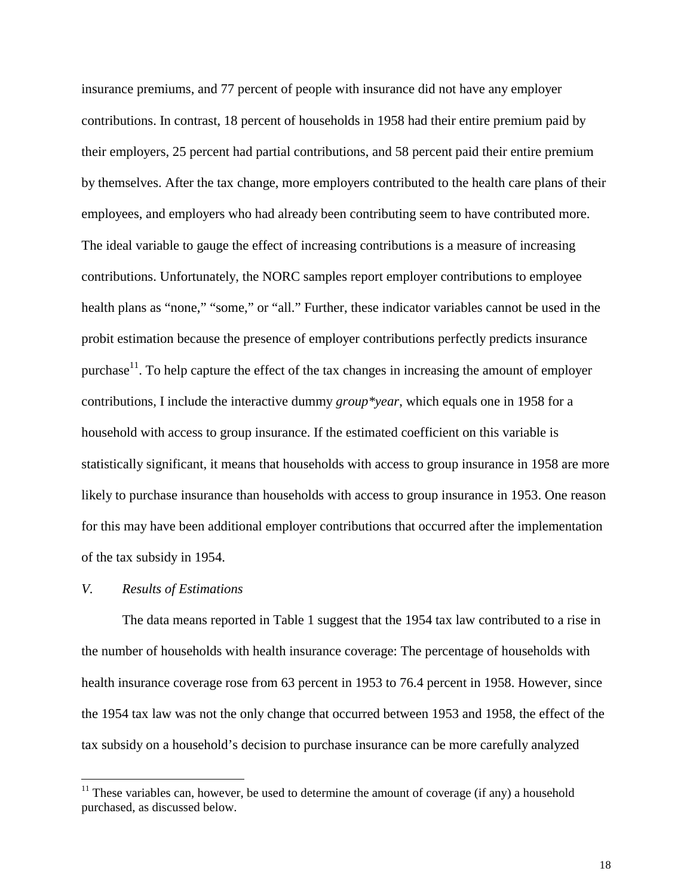insurance premiums, and 77 percent of people with insurance did not have any employer contributions. In contrast, 18 percent of households in 1958 had their entire premium paid by their employers, 25 percent had partial contributions, and 58 percent paid their entire premium by themselves. After the tax change, more employers contributed to the health care plans of their employees, and employers who had already been contributing seem to have contributed more. The ideal variable to gauge the effect of increasing contributions is a measure of increasing contributions. Unfortunately, the NORC samples report employer contributions to employee health plans as "none," "some," or "all." Further, these indicator variables cannot be used in the probit estimation because the presence of employer contributions perfectly predicts insurance purchase<sup>11</sup>. To help capture the effect of the tax changes in increasing the amount of employer contributions, I include the interactive dummy *group\*year*, which equals one in 1958 for a household with access to group insurance. If the estimated coefficient on this variable is statistically significant, it means that households with access to group insurance in 1958 are more likely to purchase insurance than households with access to group insurance in 1953. One reason for this may have been additional employer contributions that occurred after the implementation of the tax subsidy in 1954.

#### *V. Results of Estimations*

 $\overline{a}$ 

The data means reported in Table 1 suggest that the 1954 tax law contributed to a rise in the number of households with health insurance coverage: The percentage of households with health insurance coverage rose from 63 percent in 1953 to 76.4 percent in 1958. However, since the 1954 tax law was not the only change that occurred between 1953 and 1958, the effect of the tax subsidy on a household's decision to purchase insurance can be more carefully analyzed

 $11$  These variables can, however, be used to determine the amount of coverage (if any) a household purchased, as discussed below.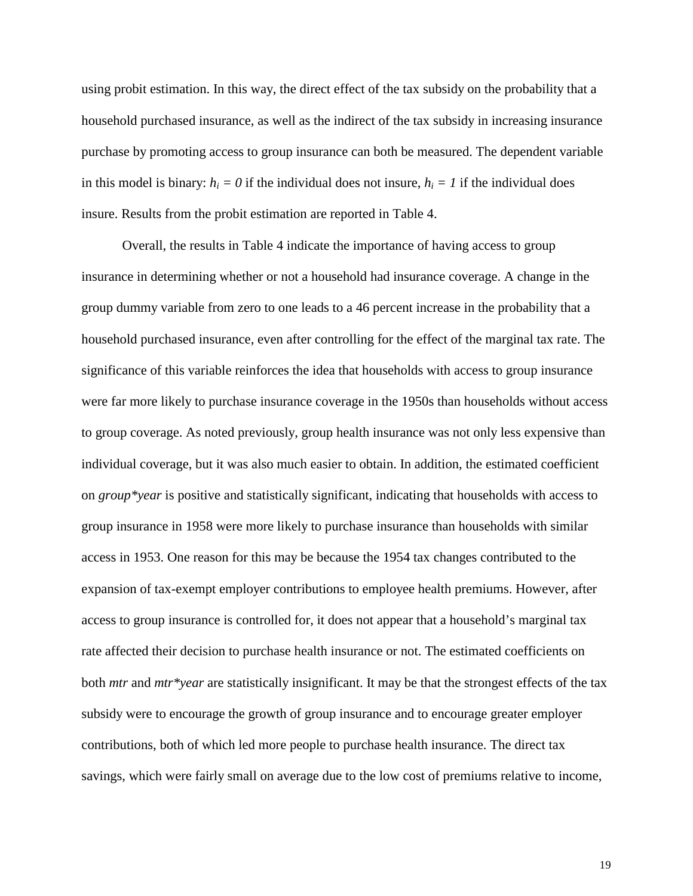using probit estimation. In this way, the direct effect of the tax subsidy on the probability that a household purchased insurance, as well as the indirect of the tax subsidy in increasing insurance purchase by promoting access to group insurance can both be measured. The dependent variable in this model is binary:  $h_i = 0$  if the individual does not insure,  $h_i = 1$  if the individual does insure. Results from the probit estimation are reported in Table 4.

Overall, the results in Table 4 indicate the importance of having access to group insurance in determining whether or not a household had insurance coverage. A change in the group dummy variable from zero to one leads to a 46 percent increase in the probability that a household purchased insurance, even after controlling for the effect of the marginal tax rate. The significance of this variable reinforces the idea that households with access to group insurance were far more likely to purchase insurance coverage in the 1950s than households without access to group coverage. As noted previously, group health insurance was not only less expensive than individual coverage, but it was also much easier to obtain. In addition, the estimated coefficient on *group\*year* is positive and statistically significant, indicating that households with access to group insurance in 1958 were more likely to purchase insurance than households with similar access in 1953. One reason for this may be because the 1954 tax changes contributed to the expansion of tax-exempt employer contributions to employee health premiums. However, after access to group insurance is controlled for, it does not appear that a household's marginal tax rate affected their decision to purchase health insurance or not. The estimated coefficients on both *mtr* and *mtr\*year* are statistically insignificant. It may be that the strongest effects of the tax subsidy were to encourage the growth of group insurance and to encourage greater employer contributions, both of which led more people to purchase health insurance. The direct tax savings, which were fairly small on average due to the low cost of premiums relative to income,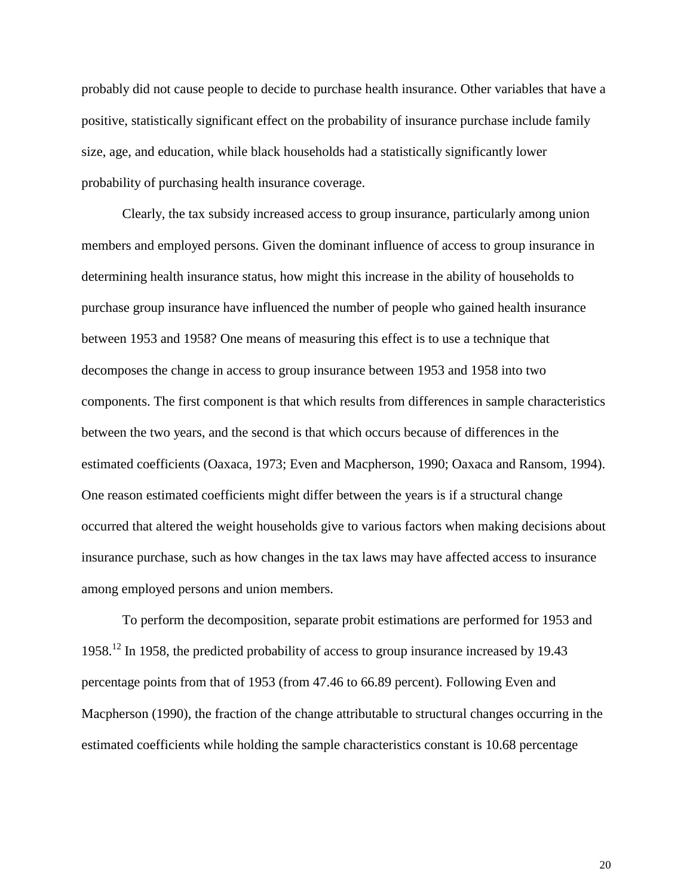probably did not cause people to decide to purchase health insurance. Other variables that have a positive, statistically significant effect on the probability of insurance purchase include family size, age, and education, while black households had a statistically significantly lower probability of purchasing health insurance coverage.

Clearly, the tax subsidy increased access to group insurance, particularly among union members and employed persons. Given the dominant influence of access to group insurance in determining health insurance status, how might this increase in the ability of households to purchase group insurance have influenced the number of people who gained health insurance between 1953 and 1958? One means of measuring this effect is to use a technique that decomposes the change in access to group insurance between 1953 and 1958 into two components. The first component is that which results from differences in sample characteristics between the two years, and the second is that which occurs because of differences in the estimated coefficients (Oaxaca, 1973; Even and Macpherson, 1990; Oaxaca and Ransom, 1994). One reason estimated coefficients might differ between the years is if a structural change occurred that altered the weight households give to various factors when making decisions about insurance purchase, such as how changes in the tax laws may have affected access to insurance among employed persons and union members.

To perform the decomposition, separate probit estimations are performed for 1953 and 1958.12 In 1958, the predicted probability of access to group insurance increased by 19.43 percentage points from that of 1953 (from 47.46 to 66.89 percent). Following Even and Macpherson (1990), the fraction of the change attributable to structural changes occurring in the estimated coefficients while holding the sample characteristics constant is 10.68 percentage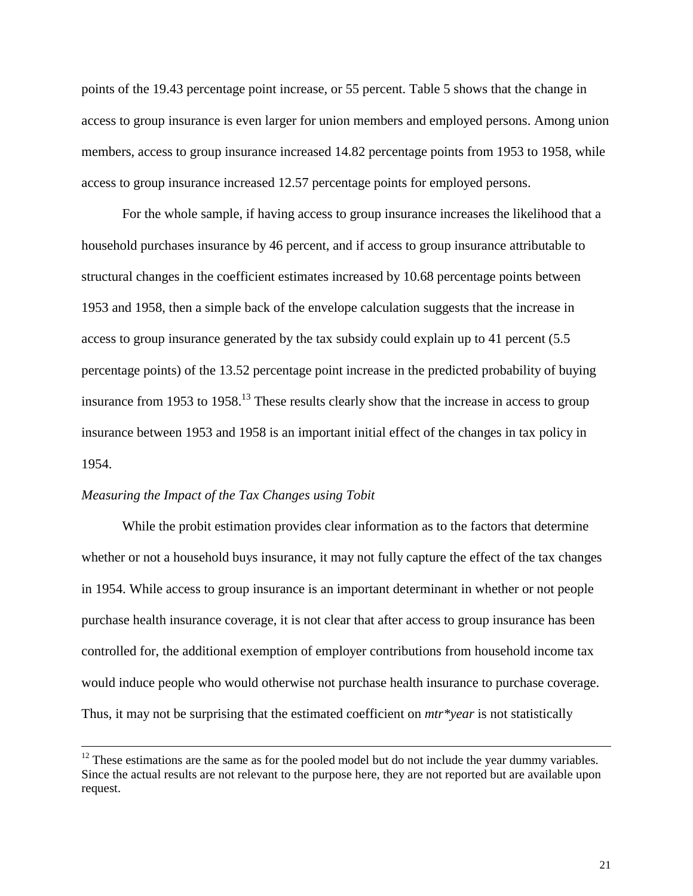points of the 19.43 percentage point increase, or 55 percent. Table 5 shows that the change in access to group insurance is even larger for union members and employed persons. Among union members, access to group insurance increased 14.82 percentage points from 1953 to 1958, while access to group insurance increased 12.57 percentage points for employed persons.

For the whole sample, if having access to group insurance increases the likelihood that a household purchases insurance by 46 percent, and if access to group insurance attributable to structural changes in the coefficient estimates increased by 10.68 percentage points between 1953 and 1958, then a simple back of the envelope calculation suggests that the increase in access to group insurance generated by the tax subsidy could explain up to 41 percent (5.5 percentage points) of the 13.52 percentage point increase in the predicted probability of buying insurance from 1953 to 1958.<sup>13</sup> These results clearly show that the increase in access to group insurance between 1953 and 1958 is an important initial effect of the changes in tax policy in 1954.

### *Measuring the Impact of the Tax Changes using Tobit*

While the probit estimation provides clear information as to the factors that determine whether or not a household buys insurance, it may not fully capture the effect of the tax changes in 1954. While access to group insurance is an important determinant in whether or not people purchase health insurance coverage, it is not clear that after access to group insurance has been controlled for, the additional exemption of employer contributions from household income tax would induce people who would otherwise not purchase health insurance to purchase coverage. Thus, it may not be surprising that the estimated coefficient on *mtr\*year* is not statistically

 $12$  These estimations are the same as for the pooled model but do not include the year dummy variables. Since the actual results are not relevant to the purpose here, they are not reported but are available upon request.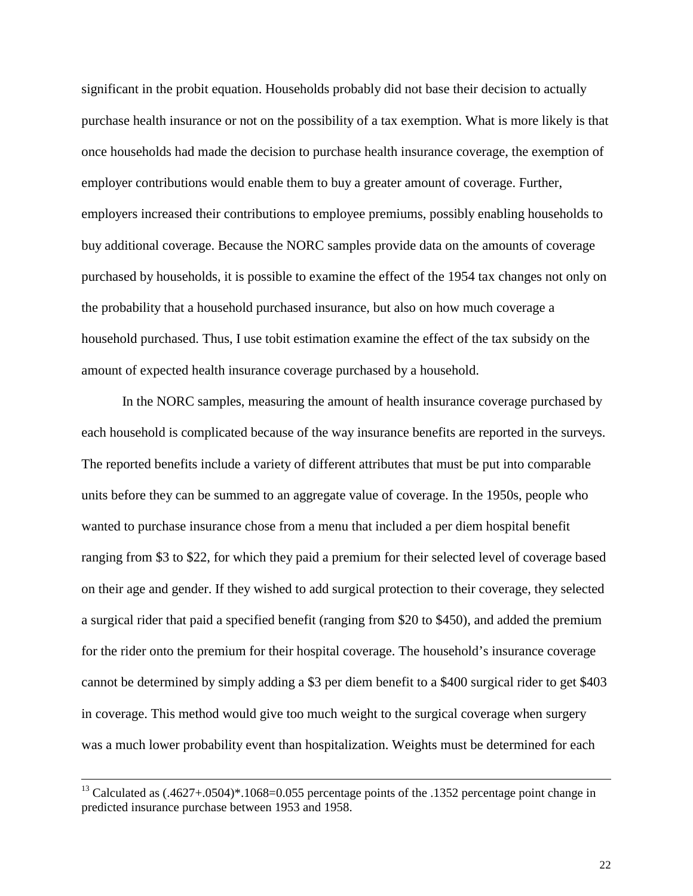significant in the probit equation. Households probably did not base their decision to actually purchase health insurance or not on the possibility of a tax exemption. What is more likely is that once households had made the decision to purchase health insurance coverage, the exemption of employer contributions would enable them to buy a greater amount of coverage. Further, employers increased their contributions to employee premiums, possibly enabling households to buy additional coverage. Because the NORC samples provide data on the amounts of coverage purchased by households, it is possible to examine the effect of the 1954 tax changes not only on the probability that a household purchased insurance, but also on how much coverage a household purchased. Thus, I use tobit estimation examine the effect of the tax subsidy on the amount of expected health insurance coverage purchased by a household.

In the NORC samples, measuring the amount of health insurance coverage purchased by each household is complicated because of the way insurance benefits are reported in the surveys. The reported benefits include a variety of different attributes that must be put into comparable units before they can be summed to an aggregate value of coverage. In the 1950s, people who wanted to purchase insurance chose from a menu that included a per diem hospital benefit ranging from \$3 to \$22, for which they paid a premium for their selected level of coverage based on their age and gender. If they wished to add surgical protection to their coverage, they selected a surgical rider that paid a specified benefit (ranging from \$20 to \$450), and added the premium for the rider onto the premium for their hospital coverage. The household's insurance coverage cannot be determined by simply adding a \$3 per diem benefit to a \$400 surgical rider to get \$403 in coverage. This method would give too much weight to the surgical coverage when surgery was a much lower probability event than hospitalization. Weights must be determined for each

<sup>&</sup>lt;sup>13</sup> Calculated as  $(.4627+.0504)*.1068=0.055$  percentage points of the .1352 percentage point change in predicted insurance purchase between 1953 and 1958.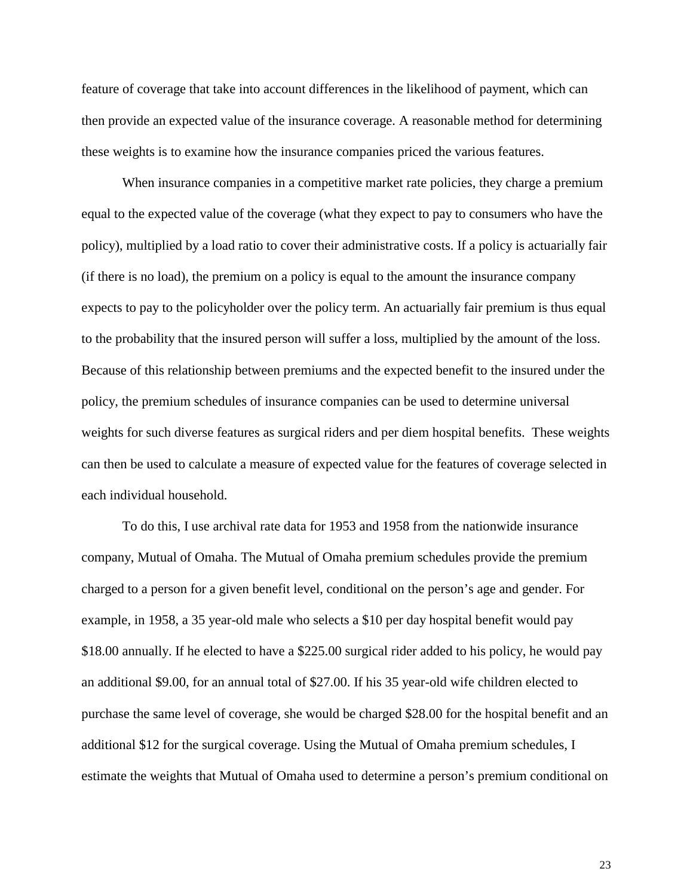feature of coverage that take into account differences in the likelihood of payment, which can then provide an expected value of the insurance coverage. A reasonable method for determining these weights is to examine how the insurance companies priced the various features.

When insurance companies in a competitive market rate policies, they charge a premium equal to the expected value of the coverage (what they expect to pay to consumers who have the policy), multiplied by a load ratio to cover their administrative costs. If a policy is actuarially fair (if there is no load), the premium on a policy is equal to the amount the insurance company expects to pay to the policyholder over the policy term. An actuarially fair premium is thus equal to the probability that the insured person will suffer a loss, multiplied by the amount of the loss. Because of this relationship between premiums and the expected benefit to the insured under the policy, the premium schedules of insurance companies can be used to determine universal weights for such diverse features as surgical riders and per diem hospital benefits. These weights can then be used to calculate a measure of expected value for the features of coverage selected in each individual household.

To do this, I use archival rate data for 1953 and 1958 from the nationwide insurance company, Mutual of Omaha. The Mutual of Omaha premium schedules provide the premium charged to a person for a given benefit level, conditional on the person's age and gender. For example, in 1958, a 35 year-old male who selects a \$10 per day hospital benefit would pay \$18.00 annually. If he elected to have a \$225.00 surgical rider added to his policy, he would pay an additional \$9.00, for an annual total of \$27.00. If his 35 year-old wife children elected to purchase the same level of coverage, she would be charged \$28.00 for the hospital benefit and an additional \$12 for the surgical coverage. Using the Mutual of Omaha premium schedules, I estimate the weights that Mutual of Omaha used to determine a person's premium conditional on

23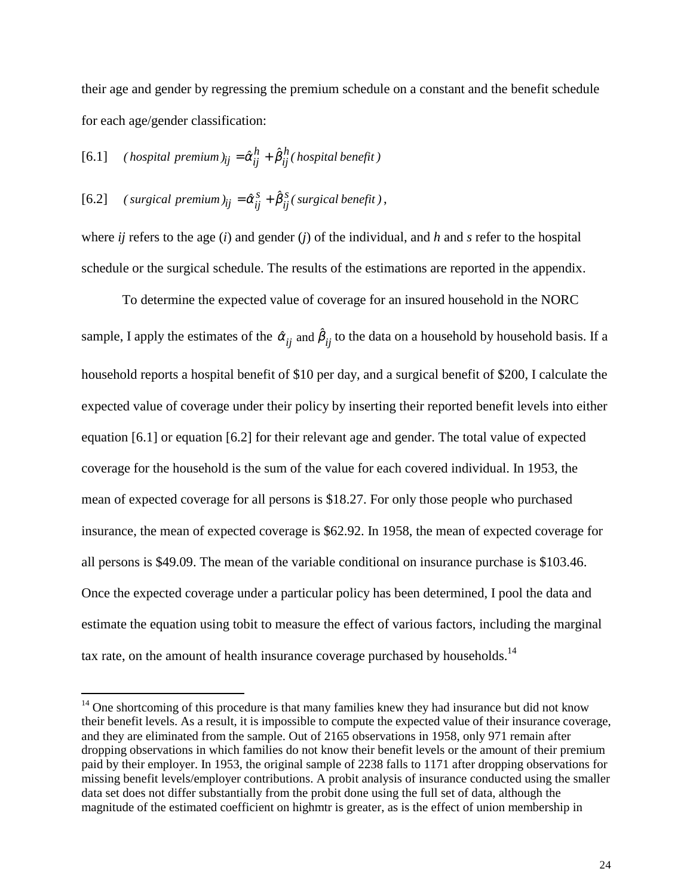their age and gender by regressing the premium schedule on a constant and the benefit schedule for each age/gender classification:

[6.1] ( hospital premium)<sub>ij</sub> = 
$$
\hat{\alpha}_{ij}^h + \hat{\beta}_{ij}^h
$$
 ( hospital benefit)

[6.2] (surgical premium)<sub>ij</sub> = 
$$
\hat{\alpha}_{ij}^s + \hat{\beta}_{ij}^s
$$
 (surgical benefit),

 $\overline{a}$ 

where *ij* refers to the age (*i*) and gender (*j*) of the individual, and *h* and *s* refer to the hospital schedule or the surgical schedule. The results of the estimations are reported in the appendix.

To determine the expected value of coverage for an insured household in the NORC sample, I apply the estimates of the  $\hat{\alpha}_{ij}$  and  $\hat{\beta}_{ij}$  to the data on a household by household basis. If a household reports a hospital benefit of \$10 per day, and a surgical benefit of \$200, I calculate the expected value of coverage under their policy by inserting their reported benefit levels into either equation [6.1] or equation [6.2] for their relevant age and gender. The total value of expected coverage for the household is the sum of the value for each covered individual. In 1953, the mean of expected coverage for all persons is \$18.27. For only those people who purchased insurance, the mean of expected coverage is \$62.92. In 1958, the mean of expected coverage for all persons is \$49.09. The mean of the variable conditional on insurance purchase is \$103.46. Once the expected coverage under a particular policy has been determined, I pool the data and estimate the equation using tobit to measure the effect of various factors, including the marginal tax rate, on the amount of health insurance coverage purchased by households.<sup>14</sup>

 $14$  One shortcoming of this procedure is that many families knew they had insurance but did not know their benefit levels. As a result, it is impossible to compute the expected value of their insurance coverage, and they are eliminated from the sample. Out of 2165 observations in 1958, only 971 remain after dropping observations in which families do not know their benefit levels or the amount of their premium paid by their employer. In 1953, the original sample of 2238 falls to 1171 after dropping observations for missing benefit levels/employer contributions. A probit analysis of insurance conducted using the smaller data set does not differ substantially from the probit done using the full set of data, although the magnitude of the estimated coefficient on highmtr is greater, as is the effect of union membership in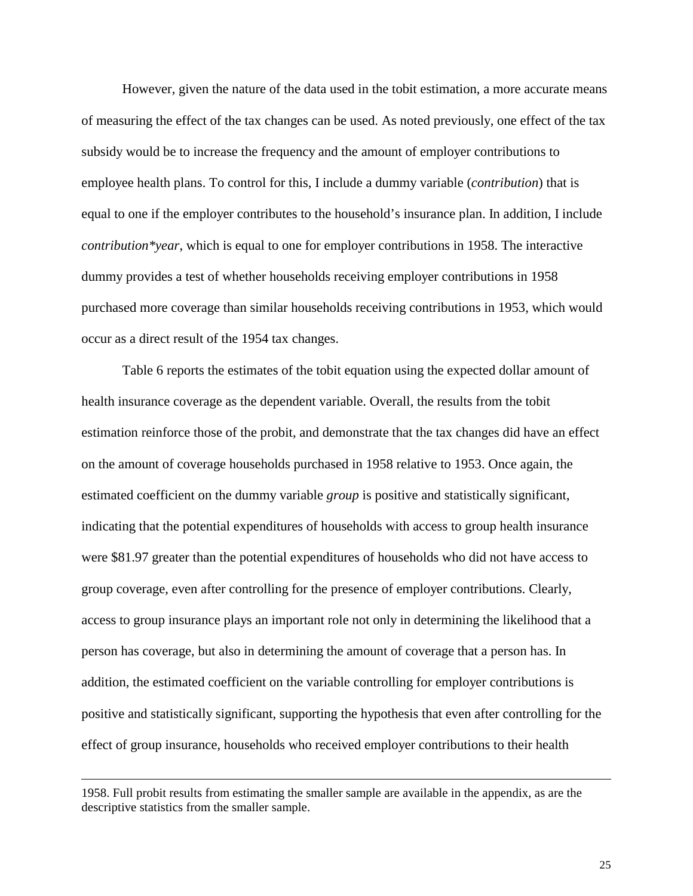However, given the nature of the data used in the tobit estimation, a more accurate means of measuring the effect of the tax changes can be used. As noted previously, one effect of the tax subsidy would be to increase the frequency and the amount of employer contributions to employee health plans. To control for this, I include a dummy variable (*contribution*) that is equal to one if the employer contributes to the household's insurance plan. In addition, I include *contribution\*year*, which is equal to one for employer contributions in 1958. The interactive dummy provides a test of whether households receiving employer contributions in 1958 purchased more coverage than similar households receiving contributions in 1953, which would occur as a direct result of the 1954 tax changes.

Table 6 reports the estimates of the tobit equation using the expected dollar amount of health insurance coverage as the dependent variable. Overall, the results from the tobit estimation reinforce those of the probit, and demonstrate that the tax changes did have an effect on the amount of coverage households purchased in 1958 relative to 1953. Once again, the estimated coefficient on the dummy variable *group* is positive and statistically significant, indicating that the potential expenditures of households with access to group health insurance were \$81.97 greater than the potential expenditures of households who did not have access to group coverage, even after controlling for the presence of employer contributions. Clearly, access to group insurance plays an important role not only in determining the likelihood that a person has coverage, but also in determining the amount of coverage that a person has. In addition, the estimated coefficient on the variable controlling for employer contributions is positive and statistically significant, supporting the hypothesis that even after controlling for the effect of group insurance, households who received employer contributions to their health

 $\overline{a}$ 

<sup>1958.</sup> Full probit results from estimating the smaller sample are available in the appendix, as are the descriptive statistics from the smaller sample.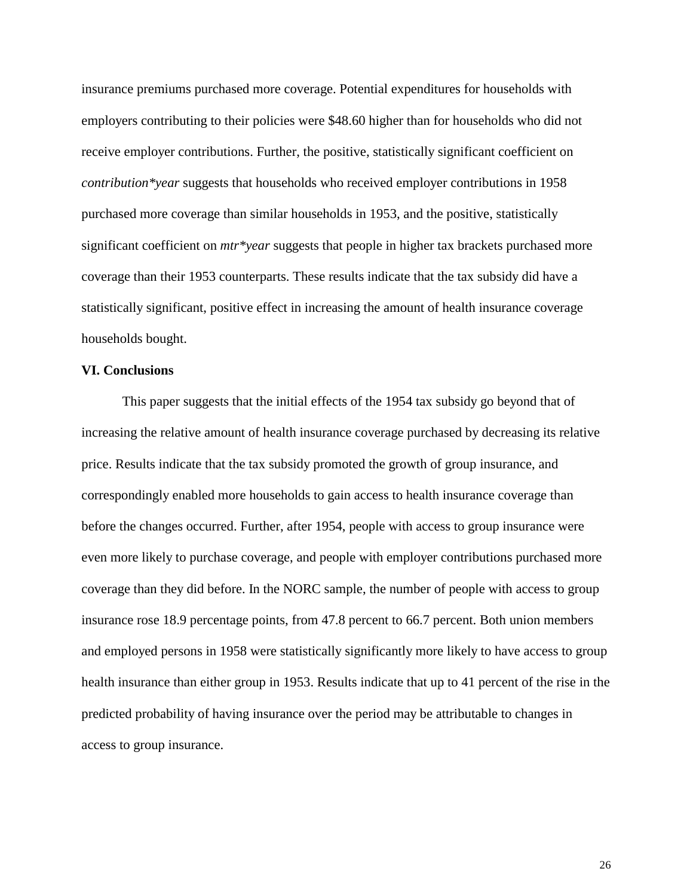insurance premiums purchased more coverage. Potential expenditures for households with employers contributing to their policies were \$48.60 higher than for households who did not receive employer contributions. Further, the positive, statistically significant coefficient on *contribution\*year* suggests that households who received employer contributions in 1958 purchased more coverage than similar households in 1953, and the positive, statistically significant coefficient on *mtr\*year* suggests that people in higher tax brackets purchased more coverage than their 1953 counterparts. These results indicate that the tax subsidy did have a statistically significant, positive effect in increasing the amount of health insurance coverage households bought.

### **VI. Conclusions**

This paper suggests that the initial effects of the 1954 tax subsidy go beyond that of increasing the relative amount of health insurance coverage purchased by decreasing its relative price. Results indicate that the tax subsidy promoted the growth of group insurance, and correspondingly enabled more households to gain access to health insurance coverage than before the changes occurred. Further, after 1954, people with access to group insurance were even more likely to purchase coverage, and people with employer contributions purchased more coverage than they did before. In the NORC sample, the number of people with access to group insurance rose 18.9 percentage points, from 47.8 percent to 66.7 percent. Both union members and employed persons in 1958 were statistically significantly more likely to have access to group health insurance than either group in 1953. Results indicate that up to 41 percent of the rise in the predicted probability of having insurance over the period may be attributable to changes in access to group insurance.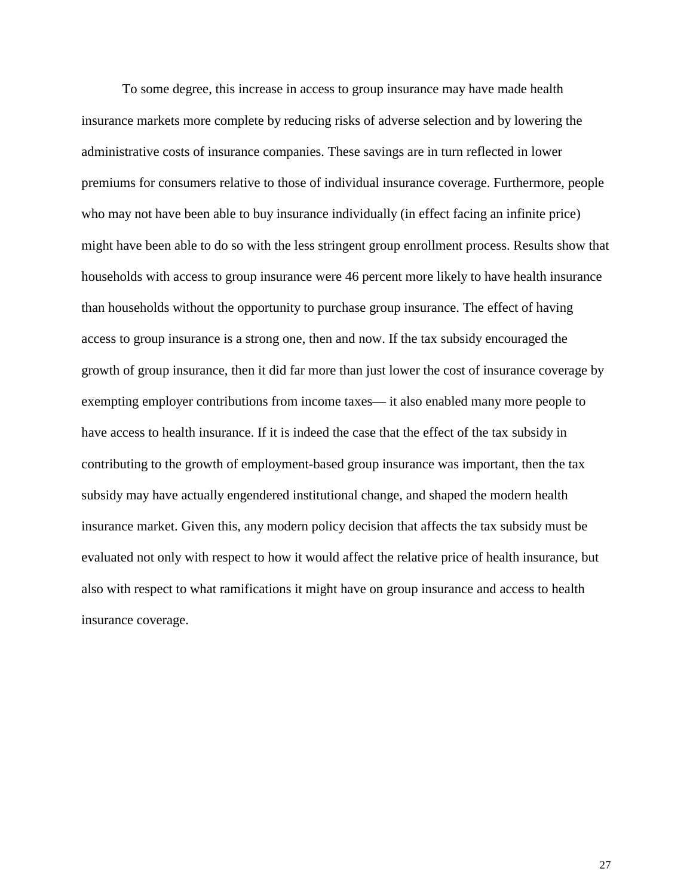To some degree, this increase in access to group insurance may have made health insurance markets more complete by reducing risks of adverse selection and by lowering the administrative costs of insurance companies. These savings are in turn reflected in lower premiums for consumers relative to those of individual insurance coverage. Furthermore, people who may not have been able to buy insurance individually (in effect facing an infinite price) might have been able to do so with the less stringent group enrollment process. Results show that households with access to group insurance were 46 percent more likely to have health insurance than households without the opportunity to purchase group insurance. The effect of having access to group insurance is a strong one, then and now. If the tax subsidy encouraged the growth of group insurance, then it did far more than just lower the cost of insurance coverage by exempting employer contributions from income taxes— it also enabled many more people to have access to health insurance. If it is indeed the case that the effect of the tax subsidy in contributing to the growth of employment-based group insurance was important, then the tax subsidy may have actually engendered institutional change, and shaped the modern health insurance market. Given this, any modern policy decision that affects the tax subsidy must be evaluated not only with respect to how it would affect the relative price of health insurance, but also with respect to what ramifications it might have on group insurance and access to health insurance coverage.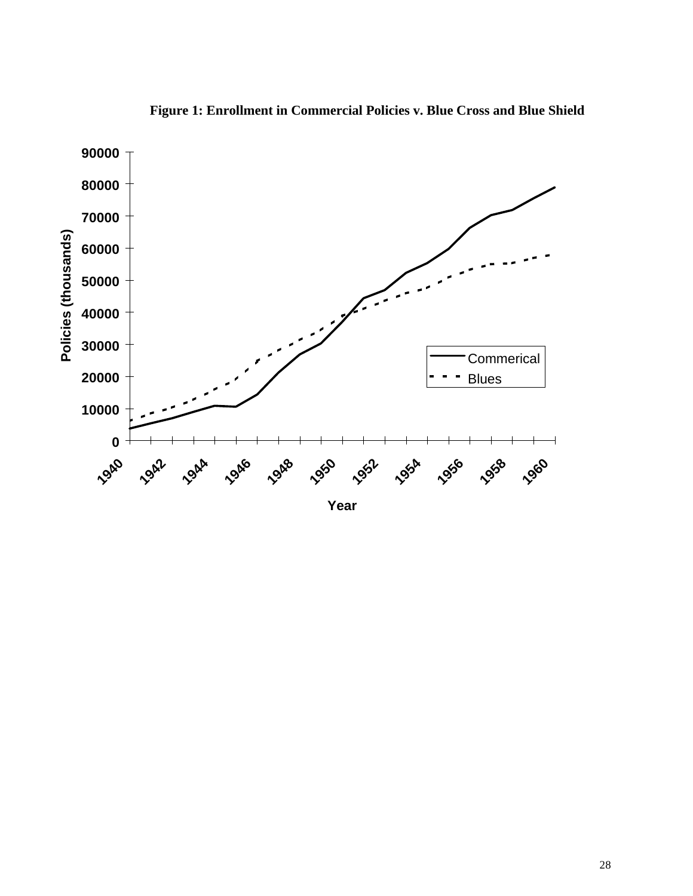

**Figure 1: Enrollment in Commercial Policies v. Blue Cross and Blue Shield**

**Year**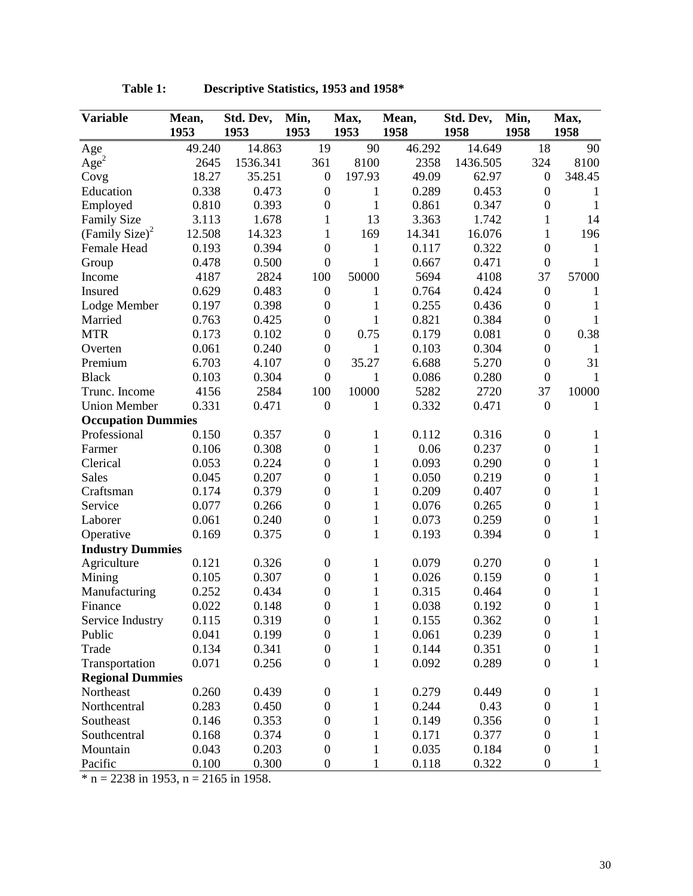| <b>Variable</b>            | Mean,  | Std. Dev, | Min,             | Max,         | Mean,  | Std. Dev, | Min,             | Max,         |
|----------------------------|--------|-----------|------------------|--------------|--------|-----------|------------------|--------------|
|                            | 1953   | 1953      | 1953             | 1953         | 1958   | 1958      | 1958             | 1958         |
| Age                        | 49.240 | 14.863    | 19               | 90           | 46.292 | 14.649    | 18               | 90           |
| Age <sup>2</sup>           | 2645   | 1536.341  | 361              | 8100         | 2358   | 1436.505  | 324              | 8100         |
| Covg                       | 18.27  | 35.251    | $\boldsymbol{0}$ | 197.93       | 49.09  | 62.97     | $\boldsymbol{0}$ | 348.45       |
| Education                  | 0.338  | 0.473     | $\boldsymbol{0}$ | $\mathbf{1}$ | 0.289  | 0.453     | $\boldsymbol{0}$ | 1            |
| Employed                   | 0.810  | 0.393     | $\boldsymbol{0}$ | $\mathbf{1}$ | 0.861  | 0.347     | $\mathbf{0}$     | 1            |
| <b>Family Size</b>         | 3.113  | 1.678     | $\mathbf{1}$     | 13           | 3.363  | 1.742     | $\mathbf{1}$     | 14           |
| (Family Size) <sup>2</sup> | 12.508 | 14.323    | $\mathbf{1}$     | 169          | 14.341 | 16.076    | $\mathbf{1}$     | 196          |
| Female Head                | 0.193  | 0.394     | $\boldsymbol{0}$ | $\mathbf{1}$ | 0.117  | 0.322     | $\boldsymbol{0}$ | 1            |
| Group                      | 0.478  | 0.500     | $\boldsymbol{0}$ | $\mathbf{1}$ | 0.667  | 0.471     | $\boldsymbol{0}$ | 1            |
| Income                     | 4187   | 2824      | 100              | 50000        | 5694   | 4108      | 37               | 57000        |
| Insured                    | 0.629  | 0.483     | $\boldsymbol{0}$ | $\mathbf{1}$ | 0.764  | 0.424     | $\boldsymbol{0}$ | 1            |
| Lodge Member               | 0.197  | 0.398     | $\boldsymbol{0}$ | $\mathbf{1}$ | 0.255  | 0.436     | $\boldsymbol{0}$ | 1            |
| Married                    | 0.763  | 0.425     | $\boldsymbol{0}$ | 1            | 0.821  | 0.384     | $\boldsymbol{0}$ | 1            |
| <b>MTR</b>                 | 0.173  | 0.102     | $\boldsymbol{0}$ | 0.75         | 0.179  | 0.081     | $\boldsymbol{0}$ | 0.38         |
| Overten                    | 0.061  | 0.240     | $\boldsymbol{0}$ | $\mathbf{1}$ | 0.103  | 0.304     | $\mathbf{0}$     | 1            |
| Premium                    | 6.703  | 4.107     | $\boldsymbol{0}$ | 35.27        | 6.688  | 5.270     | $\mathbf{0}$     | 31           |
| <b>Black</b>               | 0.103  | 0.304     | $\boldsymbol{0}$ | $\mathbf{1}$ | 0.086  | 0.280     | $\mathbf{0}$     | $\mathbf{1}$ |
| Trunc. Income              | 4156   | 2584      | 100              | 10000        | 5282   | 2720      | 37               | 10000        |
| <b>Union Member</b>        | 0.331  | 0.471     | $\boldsymbol{0}$ | $\mathbf{1}$ | 0.332  | 0.471     | $\boldsymbol{0}$ | 1            |
| <b>Occupation Dummies</b>  |        |           |                  |              |        |           |                  |              |
| Professional               | 0.150  | 0.357     | $\boldsymbol{0}$ | $\mathbf{1}$ | 0.112  | 0.316     | $\boldsymbol{0}$ | 1            |
| Farmer                     | 0.106  | 0.308     | $\overline{0}$   | $\mathbf{1}$ | 0.06   | 0.237     | $\boldsymbol{0}$ | 1            |
| Clerical                   | 0.053  | 0.224     | $\boldsymbol{0}$ | $\mathbf{1}$ | 0.093  | 0.290     | $\mathbf{0}$     | 1            |
| Sales                      | 0.045  | 0.207     | $\boldsymbol{0}$ | 1            | 0.050  | 0.219     | $\mathbf{0}$     | $\mathbf{1}$ |
| Craftsman                  | 0.174  | 0.379     | $\boldsymbol{0}$ | 1            | 0.209  | 0.407     | $\boldsymbol{0}$ | $\mathbf{1}$ |
| Service                    | 0.077  | 0.266     | $\boldsymbol{0}$ | 1            | 0.076  | 0.265     | $\mathbf{0}$     | $\mathbf{1}$ |
| Laborer                    | 0.061  | 0.240     | $\boldsymbol{0}$ | $\mathbf{1}$ | 0.073  | 0.259     | $\boldsymbol{0}$ | $\mathbf{1}$ |
| Operative                  | 0.169  | 0.375     | $\mathbf{0}$     | 1            | 0.193  | 0.394     | $\boldsymbol{0}$ | $\mathbf{1}$ |
| <b>Industry Dummies</b>    |        |           |                  |              |        |           |                  |              |
| Agriculture                | 0.121  | 0.326     | $\boldsymbol{0}$ | $\mathbf{1}$ | 0.079  | 0.270     | $\boldsymbol{0}$ | 1            |
| Mining                     | 0.105  | 0.307     | $\overline{0}$   | $\mathbf{1}$ | 0.026  | 0.159     | $\boldsymbol{0}$ | 1            |
| Manufacturing              | 0.252  | 0.434     | $\boldsymbol{0}$ | $\mathbf{1}$ | 0.315  | 0.464     | $\boldsymbol{0}$ | $\mathbf{1}$ |
| Finance                    | 0.022  | 0.148     | $\boldsymbol{0}$ | $\mathbf{1}$ | 0.038  | 0.192     | $\mathbf{0}$     | $\mathbf{1}$ |
| Service Industry           | 0.115  | 0.319     | $\boldsymbol{0}$ | 1            | 0.155  | 0.362     | $\boldsymbol{0}$ | 1            |
| Public                     | 0.041  | 0.199     | $\boldsymbol{0}$ | 1            | 0.061  | 0.239     | $\boldsymbol{0}$ | $\mathbf{1}$ |
| Trade                      | 0.134  | 0.341     | $\boldsymbol{0}$ | 1            | 0.144  | 0.351     | $\boldsymbol{0}$ | $\mathbf{1}$ |
| Transportation             | 0.071  | 0.256     | $\boldsymbol{0}$ | $\mathbf{1}$ | 0.092  | 0.289     | $\boldsymbol{0}$ | $\mathbf{1}$ |
| <b>Regional Dummies</b>    |        |           |                  |              |        |           |                  |              |
| Northeast                  | 0.260  | 0.439     | $\boldsymbol{0}$ | $\mathbf{1}$ | 0.279  | 0.449     | $\boldsymbol{0}$ | $\mathbf 1$  |
| Northcentral               | 0.283  | 0.450     | $\boldsymbol{0}$ | $\mathbf{1}$ | 0.244  | 0.43      | $\mathbf{0}$     | 1            |
| Southeast                  | 0.146  | 0.353     | $\boldsymbol{0}$ | 1            | 0.149  | 0.356     | $\mathbf{0}$     | 1            |
| Southcentral               | 0.168  | 0.374     | $\boldsymbol{0}$ | $\mathbf{1}$ | 0.171  | 0.377     | $\boldsymbol{0}$ | 1            |
| Mountain                   | 0.043  | 0.203     | $\boldsymbol{0}$ | $\mathbf{1}$ | 0.035  | 0.184     | $\boldsymbol{0}$ | $\mathbf{1}$ |
| Pacific                    | 0.100  | 0.300     | $\boldsymbol{0}$ | $\mathbf{1}$ | 0.118  | 0.322     | $\overline{0}$   | 1            |

**Table 1: Descriptive Statistics, 1953 and 1958\*** 

 $* n = 2238$  in 1953, n = 2165 in 1958.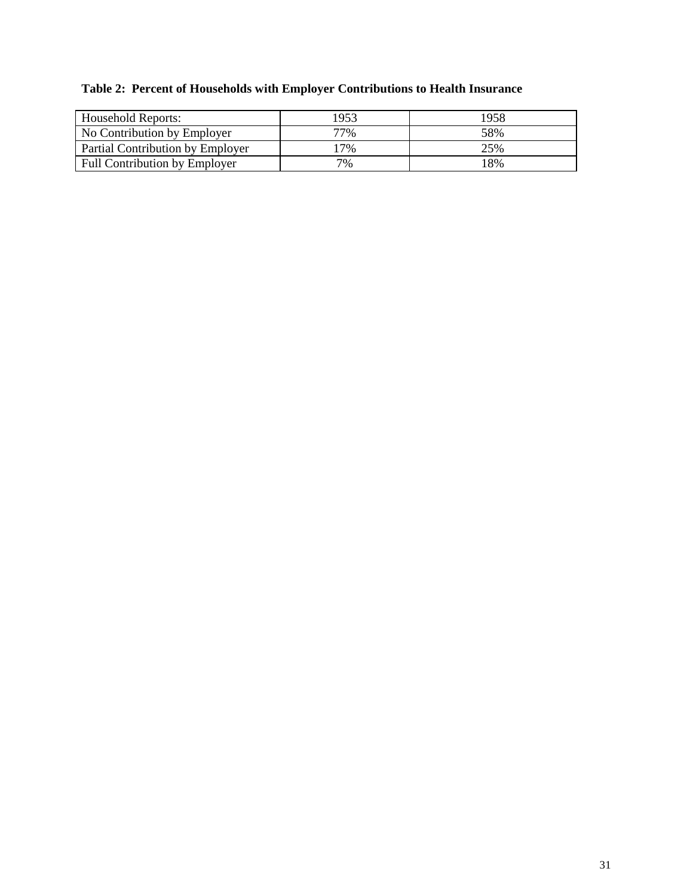| <b>Household Reports:</b>            | 1953 | 1958 |
|--------------------------------------|------|------|
| No Contribution by Employer          | 77%  | 58%  |
| Partial Contribution by Employer     | 17%  | 25%  |
| <b>Full Contribution by Employer</b> | 7%   | 18%  |

# **Table 2: Percent of Households with Employer Contributions to Health Insurance**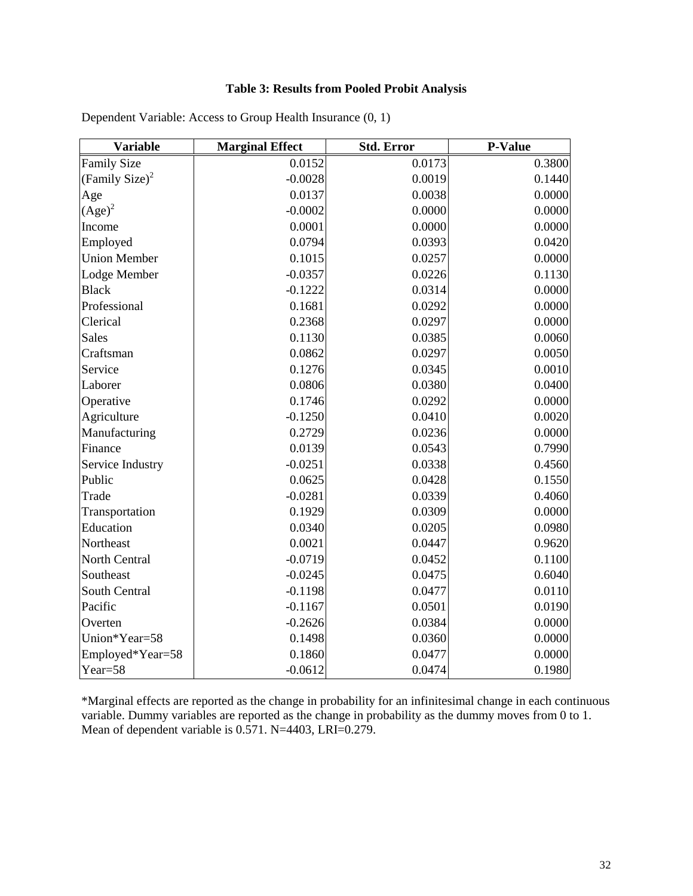### **Table 3: Results from Pooled Probit Analysis**

| <b>Variable</b>            | <b>Marginal Effect</b> | <b>Std. Error</b> | <b>P-Value</b> |
|----------------------------|------------------------|-------------------|----------------|
| <b>Family Size</b>         | 0.0152                 | 0.0173            | 0.3800         |
| (Family Size) <sup>2</sup> | $-0.0028$              | 0.0019            | 0.1440         |
| Age                        | 0.0137                 | 0.0038            | 0.0000         |
| $(Age)^2$                  | $-0.0002$              | 0.0000            | 0.0000         |
| Income                     | 0.0001                 | 0.0000            | 0.0000         |
| Employed                   | 0.0794                 | 0.0393            | 0.0420         |
| <b>Union Member</b>        | 0.1015                 | 0.0257            | 0.0000         |
| Lodge Member               | $-0.0357$              | 0.0226            | 0.1130         |
| <b>Black</b>               | $-0.1222$              | 0.0314            | 0.0000         |
| Professional               | 0.1681                 | 0.0292            | 0.0000         |
| Clerical                   | 0.2368                 | 0.0297            | 0.0000         |
| <b>Sales</b>               | 0.1130                 | 0.0385            | 0.0060         |
| Craftsman                  | 0.0862                 | 0.0297            | 0.0050         |
| Service                    | 0.1276                 | 0.0345            | 0.0010         |
| Laborer                    | 0.0806                 | 0.0380            | 0.0400         |
| Operative                  | 0.1746                 | 0.0292            | 0.0000         |
| Agriculture                | $-0.1250$              | 0.0410            | 0.0020         |
| Manufacturing              | 0.2729                 | 0.0236            | 0.0000         |
| Finance                    | 0.0139                 | 0.0543            | 0.7990         |
| Service Industry           | $-0.0251$              | 0.0338            | 0.4560         |
| Public                     | 0.0625                 | 0.0428            | 0.1550         |
| Trade                      | $-0.0281$              | 0.0339            | 0.4060         |
| Transportation             | 0.1929                 | 0.0309            | 0.0000         |
| Education                  | 0.0340                 | 0.0205            | 0.0980         |
| Northeast                  | 0.0021                 | 0.0447            | 0.9620         |
| North Central              | $-0.0719$              | 0.0452            | 0.1100         |
| Southeast                  | $-0.0245$              | 0.0475            | 0.6040         |
| <b>South Central</b>       | $-0.1198$              | 0.0477            | 0.0110         |
| Pacific                    | $-0.1167$              | 0.0501            | 0.0190         |
| Overten                    | $-0.2626$              | 0.0384            | 0.0000         |
| Union*Year=58              | 0.1498                 | 0.0360            | 0.0000         |
| Employed*Year=58           | 0.1860                 | 0.0477            | 0.0000         |
| Year=58                    | $-0.0612$              | 0.0474            | 0.1980         |

Dependent Variable: Access to Group Health Insurance (0, 1)

\*Marginal effects are reported as the change in probability for an infinitesimal change in each continuous variable. Dummy variables are reported as the change in probability as the dummy moves from 0 to 1. Mean of dependent variable is 0.571. N=4403, LRI=0.279.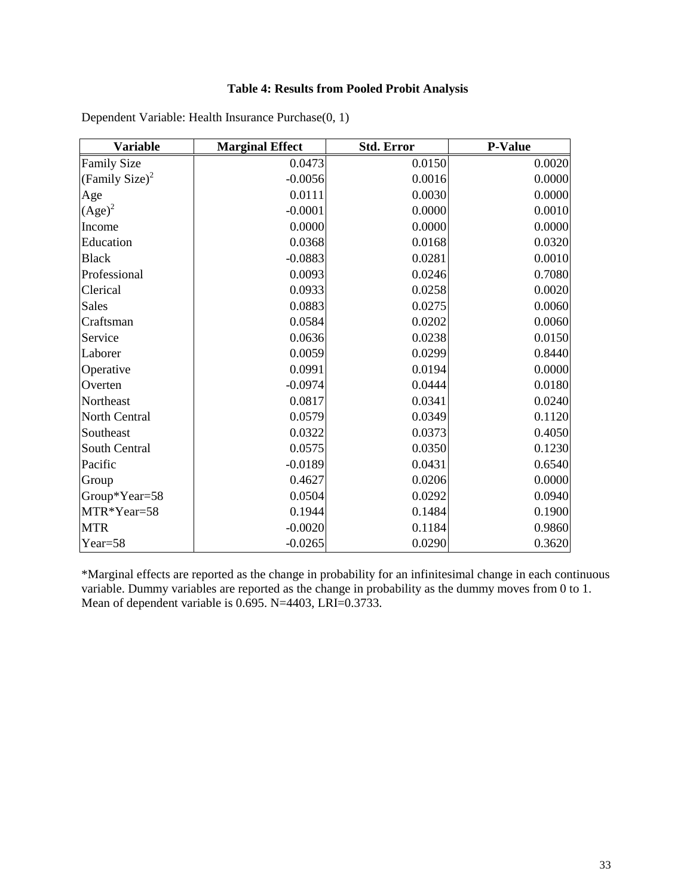### **Table 4: Results from Pooled Probit Analysis**

| <b>Variable</b>            | <b>Marginal Effect</b> | <b>Std. Error</b> | <b>P-Value</b> |
|----------------------------|------------------------|-------------------|----------------|
| <b>Family Size</b>         | 0.0473                 | 0.0150            | 0.0020         |
| (Family Size) <sup>2</sup> | $-0.0056$              | 0.0016            | 0.0000         |
| Age                        | 0.0111                 | 0.0030            | 0.0000         |
| $(Age)^2$                  | $-0.0001$              | 0.0000            | 0.0010         |
| Income                     | 0.0000                 | 0.0000            | 0.0000         |
| Education                  | 0.0368                 | 0.0168            | 0.0320         |
| <b>Black</b>               | $-0.0883$              | 0.0281            | 0.0010         |
| Professional               | 0.0093                 | 0.0246            | 0.7080         |
| Clerical                   | 0.0933                 | 0.0258            | 0.0020         |
| <b>Sales</b>               | 0.0883                 | 0.0275            | 0.0060         |
| Craftsman                  | 0.0584                 | 0.0202            | 0.0060         |
| Service                    | 0.0636                 | 0.0238            | 0.0150         |
| Laborer                    | 0.0059                 | 0.0299            | 0.8440         |
| Operative                  | 0.0991                 | 0.0194            | 0.0000         |
| Overten                    | $-0.0974$              | 0.0444            | 0.0180         |
| Northeast                  | 0.0817                 | 0.0341            | 0.0240         |
| <b>North Central</b>       | 0.0579                 | 0.0349            | 0.1120         |
| Southeast                  | 0.0322                 | 0.0373            | 0.4050         |
| <b>South Central</b>       | 0.0575                 | 0.0350            | 0.1230         |
| Pacific                    | $-0.0189$              | 0.0431            | 0.6540         |
| Group                      | 0.4627                 | 0.0206            | 0.0000         |
| Group*Year=58              | 0.0504                 | 0.0292            | 0.0940         |
| MTR*Year=58                | 0.1944                 | 0.1484            | 0.1900         |
| <b>MTR</b>                 | $-0.0020$              | 0.1184            | 0.9860         |
| Year=58                    | $-0.0265$              | 0.0290            | 0.3620         |

Dependent Variable: Health Insurance Purchase(0, 1)

\*Marginal effects are reported as the change in probability for an infinitesimal change in each continuous variable. Dummy variables are reported as the change in probability as the dummy moves from 0 to 1. Mean of dependent variable is 0.695. N=4403, LRI=0.3733.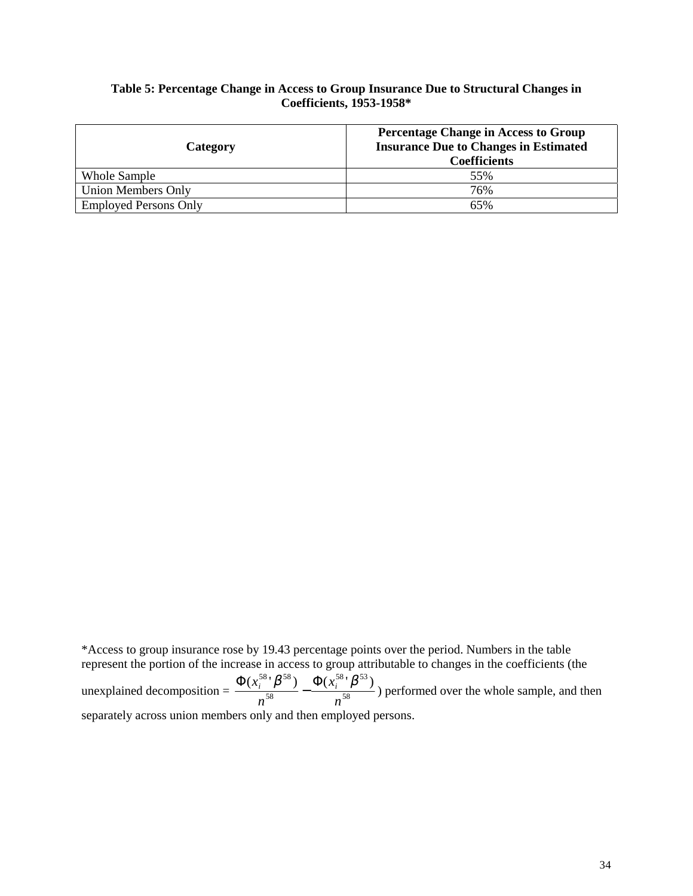#### **Table 5: Percentage Change in Access to Group Insurance Due to Structural Changes in Coefficients, 1953-1958\***

| Category                     | <b>Percentage Change in Access to Group</b><br><b>Insurance Due to Changes in Estimated</b><br><b>Coefficients</b> |
|------------------------------|--------------------------------------------------------------------------------------------------------------------|
| Whole Sample                 | 55%                                                                                                                |
| Union Members Only           | 76%                                                                                                                |
| <b>Employed Persons Only</b> | 65%                                                                                                                |

\*Access to group insurance rose by 19.43 percentage points over the period. Numbers in the table represent the portion of the increase in access to group attributable to changes in the coefficients (the unexplained decomposition =  $\frac{1}{s^{58}} - \frac{1}{s^{58}}$ 58  $R$  53 58  $(x_i^{58} \, \beta^{58}) \, \Phi(x_i^{58} \, \beta^{53})$ *n x n*  $\frac{\Phi(x_i^{58} \cdot \beta^{58})}{\sigma^8} - \frac{\Phi(x_i^{58} \cdot \beta^{53})}{\sigma^8}$  performed over the whole sample, and then separately across union members only and then employed persons.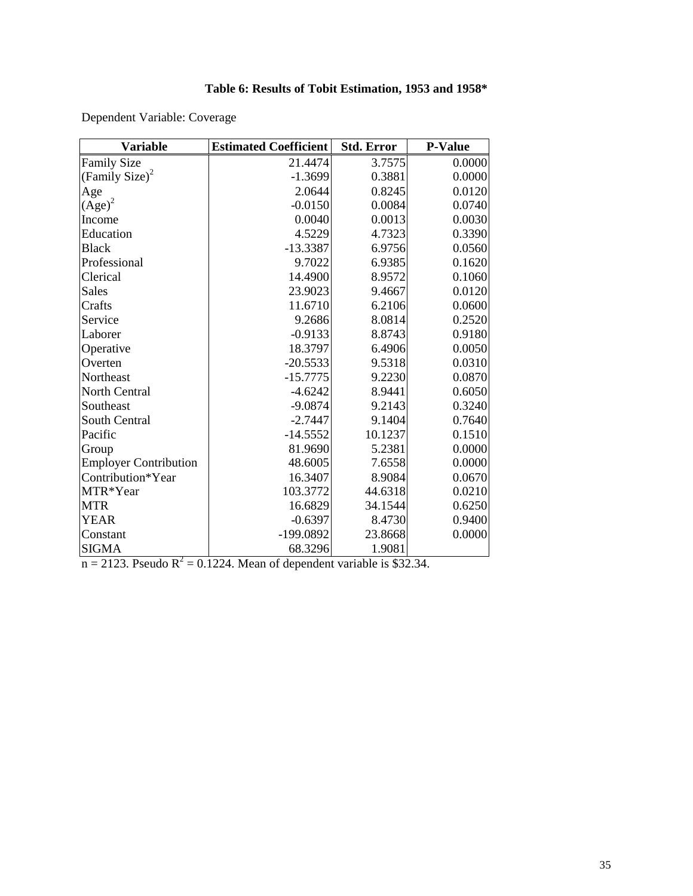Dependent Variable: Coverage

| <b>Variable</b>              | <b>Estimated Coefficient</b> | <b>Std. Error</b> | <b>P-Value</b> |
|------------------------------|------------------------------|-------------------|----------------|
| <b>Family Size</b>           | 21.4474                      | 3.7575            | 0.0000         |
| (Family Size) <sup>2</sup>   | $-1.3699$                    | 0.3881            | 0.0000         |
| Age                          | 2.0644                       | 0.8245            | 0.0120         |
| $(Age)^2$                    | $-0.0150$                    | 0.0084            | 0.0740         |
| Income                       | 0.0040                       | 0.0013            | 0.0030         |
| Education                    | 4.5229                       | 4.7323            | 0.3390         |
| <b>Black</b>                 | $-13.3387$                   | 6.9756            | 0.0560         |
| Professional                 | 9.7022                       | 6.9385            | 0.1620         |
| Clerical                     | 14.4900                      | 8.9572            | 0.1060         |
| <b>Sales</b>                 | 23.9023                      | 9.4667            | 0.0120         |
| Crafts                       | 11.6710                      | 6.2106            | 0.0600         |
| Service                      | 9.2686                       | 8.0814            | 0.2520         |
| Laborer                      | $-0.9133$                    | 8.8743            | 0.9180         |
| Operative                    | 18.3797                      | 6.4906            | 0.0050         |
| Overten                      | $-20.5533$                   | 9.5318            | 0.0310         |
| Northeast                    | $-15.7775$                   | 9.2230            | 0.0870         |
| North Central                | $-4.6242$                    | 8.9441            | 0.6050         |
| Southeast                    | $-9.0874$                    | 9.2143            | 0.3240         |
| South Central                | $-2.7447$                    | 9.1404            | 0.7640         |
| Pacific                      | $-14.5552$                   | 10.1237           | 0.1510         |
| Group                        | 81.9690                      | 5.2381            | 0.0000         |
| <b>Employer Contribution</b> | 48.6005                      | 7.6558            | 0.0000         |
| Contribution*Year            | 16.3407                      | 8.9084            | 0.0670         |
| MTR*Year                     | 103.3772                     | 44.6318           | 0.0210         |
| <b>MTR</b>                   | 16.6829                      | 34.1544           | 0.6250         |
| <b>YEAR</b>                  | $-0.6397$                    | 8.4730            | 0.9400         |
| Constant                     | -199.0892                    | 23.8668           | 0.0000         |
| <b>SIGMA</b>                 | 68.3296                      | 1.9081            |                |

 $n = 2123$ . Pseudo  $R^2 = 0.1224$ . Mean of dependent variable is \$32.34.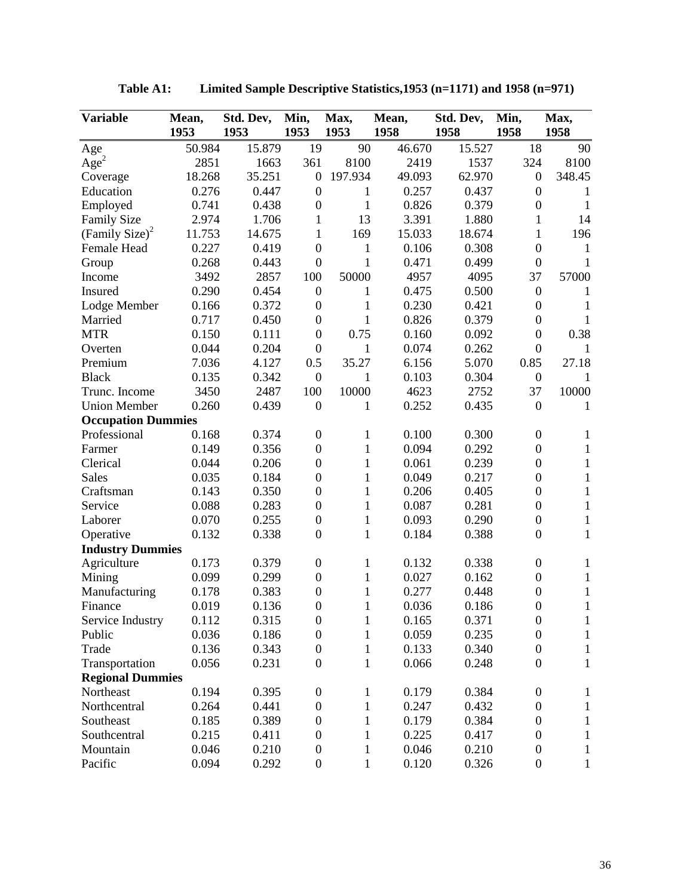| 1953<br>1953<br>1958<br>1958<br>1958<br>1958<br>1953<br>1953<br>15.879<br>15.527<br>$50.98\overline{4}$<br>19<br>90<br>46.670<br>18<br>90<br>Age<br>Age <sup>2</sup><br>2851<br>361<br>8100<br>2419<br>324<br>1663<br>1537<br>8100<br>35.251<br>197.934<br>348.45<br>18.268<br>$\boldsymbol{0}$<br>49.093<br>62.970<br>$\boldsymbol{0}$<br>Coverage<br>0.276<br>$\boldsymbol{0}$<br>0.257<br>Education<br>0.447<br>0.437<br>$\boldsymbol{0}$<br>1<br>1<br>Employed<br>0.438<br>$\boldsymbol{0}$<br>0.826<br>0.379<br>0.741<br>1<br>$\boldsymbol{0}$<br>$\mathbf{1}$<br><b>Family Size</b><br>13<br>3.391<br>14<br>2.974<br>1.706<br>1<br>1.880<br>1<br>(Family Size) <sup>2</sup><br>11.753<br>14.675<br>169<br>15.033<br>18.674<br>196<br>1<br>1<br>0.227<br>$\boldsymbol{0}$<br>0.308<br>$\boldsymbol{0}$<br>Female Head<br>0.419<br>$\mathbf{1}$<br>0.106<br>1<br>0.268<br>0.443<br>$\boldsymbol{0}$<br>$\mathbf{1}$<br>0.471<br>0.499<br>$\boldsymbol{0}$<br>1<br>Group<br>50000<br>100<br>4095<br>37<br>57000<br>Income<br>3492<br>2857<br>4957<br>0.290<br>$\boldsymbol{0}$<br>0.500<br>0.454<br>1<br>0.475<br>$\boldsymbol{0}$<br>Insured<br>1<br>0.230<br>0.421<br>Lodge Member<br>0.166<br>0.372<br>$\boldsymbol{0}$<br>$\mathbf{1}$<br>$\boldsymbol{0}$<br>1<br>0.717<br>$\mathbf{1}$<br>0.826<br>0.379<br>Married<br>0.450<br>$\boldsymbol{0}$<br>$\boldsymbol{0}$<br>1<br>0.38<br><b>MTR</b><br>0.75<br>0.150<br>0.111<br>$\boldsymbol{0}$<br>0.160<br>0.092<br>$\boldsymbol{0}$<br>$\mathbf{0}$<br>$\mathbf{0}$<br>0.044<br>0.204<br>1<br>0.074<br>0.262<br>Overten<br>1<br>35.27<br>7.036<br>0.5<br>5.070<br>0.85<br>27.18<br>Premium<br>4.127<br>6.156<br>0.135<br>0.342<br>$\boldsymbol{0}$<br>0.304<br>$\mathbf{0}$<br><b>Black</b><br>$\mathbf{1}$<br>0.103<br>$\mathbf{1}$<br>10000<br>37<br>10000<br>2487<br>100<br>4623<br>2752<br>Trunc. Income<br>3450<br><b>Union Member</b><br>0.260<br>$\boldsymbol{0}$<br>0.252<br>$\boldsymbol{0}$<br>0.439<br>0.435<br>1<br>1<br><b>Occupation Dummies</b><br>Professional<br>0.100<br>0.300<br>0.168<br>0.374<br>$\boldsymbol{0}$<br>$\boldsymbol{0}$<br>$\mathbf{1}$<br>1<br>$\mathbf{0}$<br>$\mathbf{1}$<br>0.292<br>0.149<br>0.356<br>0.094<br>$\boldsymbol{0}$<br>$\mathbf{1}$<br>Farmer<br>Clerical<br>0.206<br>$\mathbf{1}$<br>$\mathbf{1}$<br>0.044<br>$\overline{0}$<br>0.061<br>0.239<br>$\boldsymbol{0}$<br>Sales<br>0.035<br>$\boldsymbol{0}$<br>$\mathbf{1}$<br>0.217<br>$\mathbf{0}$<br>$\mathbf{1}$<br>0.184<br>0.049<br>Craftsman<br>$\mathbf{1}$<br>0.206<br>0.405<br>$\mathbf{1}$<br>0.143<br>0.350<br>$\boldsymbol{0}$<br>$\boldsymbol{0}$<br>0.088<br>$\boldsymbol{0}$<br>$\mathbf{1}$<br>0.281<br>$\boldsymbol{0}$<br>$\mathbf{1}$<br>Service<br>0.283<br>0.087<br>Laborer<br>0.070<br>$\boldsymbol{0}$<br>$\mathbf{1}$<br>0.290<br>$\boldsymbol{0}$<br>$\mathbf{1}$<br>0.255<br>0.093<br>0.132<br>0.338<br>$\mathbf{0}$<br>$\mathbf{1}$<br>0.184<br>0.388<br>$\mathbf{0}$<br>$\mathbf{1}$<br>Operative<br><b>Industry Dummies</b><br>Agriculture<br>0.173<br>0.379<br>$\boldsymbol{0}$<br>$\mathbf{1}$<br>0.132<br>0.338<br>$\boldsymbol{0}$<br>1<br>0.099<br>$\mathbf{1}$<br>Mining<br>0.299<br>$\boldsymbol{0}$<br>0.027<br>0.162<br>$\boldsymbol{0}$<br>$\mathbf{1}$<br>0.178<br>0.383<br>$\overline{0}$<br>$\mathbf{1}$<br>0.277<br>0.448<br>$\boldsymbol{0}$<br>$\mathbf{1}$<br>Manufacturing<br>$\boldsymbol{0}$<br>$\mathbf{1}$<br>$\boldsymbol{0}$<br>$\mathbf{1}$<br>0.019<br>0.136<br>0.036<br>0.186<br>Finance<br>Service Industry<br>0.112<br>0.315<br>$\boldsymbol{0}$<br>0.165<br>0.371<br>$\boldsymbol{0}$<br>1<br>1<br>0.036<br>0.186<br>0.059<br>0.235<br>Public<br>$\boldsymbol{0}$<br>$\mathbf{1}$<br>$\boldsymbol{0}$<br>$\mathbf{1}$<br>Trade<br>0.136<br>0.343<br>$\boldsymbol{0}$<br>0.133<br>0.340<br>$\boldsymbol{0}$<br>$\mathbf{1}$<br>$\mathbf{1}$<br>$\boldsymbol{0}$<br>$\mathbf{1}$<br>0.248<br>$\boldsymbol{0}$<br>Transportation<br>0.056<br>0.231<br>0.066<br>$\mathbf{1}$<br><b>Regional Dummies</b><br>Northeast<br>0.194<br>0.395<br>$\boldsymbol{0}$<br>0.179<br>0.384<br>1<br>$\boldsymbol{0}$<br>$\mathbf{1}$<br>Northcentral<br>0.264<br>0.441<br>$\mathbf{1}$<br>0.247<br>0.432<br>$\boldsymbol{0}$<br>$\boldsymbol{0}$<br>1<br>Southeast<br>0.185<br>0.389<br>$\boldsymbol{0}$<br>$\mathbf{1}$<br>0.179<br>0.384<br>$\boldsymbol{0}$<br>$\mathbf{1}$<br>Southcentral<br>0.215<br>0.411<br>$\boldsymbol{0}$<br>$\mathbf{1}$<br>0.225<br>0.417<br>$\boldsymbol{0}$<br>$\mathbf{1}$<br>0.210<br>Mountain<br>0.046<br>0.210<br>$\boldsymbol{0}$<br>$\mathbf{1}$<br>0.046<br>$\boldsymbol{0}$<br>$\mathbf{1}$ | <b>Variable</b> | Mean, | Std. Dev, | Min, | Max, | Mean, | Std. Dev, | Min, | Max, |
|----------------------------------------------------------------------------------------------------------------------------------------------------------------------------------------------------------------------------------------------------------------------------------------------------------------------------------------------------------------------------------------------------------------------------------------------------------------------------------------------------------------------------------------------------------------------------------------------------------------------------------------------------------------------------------------------------------------------------------------------------------------------------------------------------------------------------------------------------------------------------------------------------------------------------------------------------------------------------------------------------------------------------------------------------------------------------------------------------------------------------------------------------------------------------------------------------------------------------------------------------------------------------------------------------------------------------------------------------------------------------------------------------------------------------------------------------------------------------------------------------------------------------------------------------------------------------------------------------------------------------------------------------------------------------------------------------------------------------------------------------------------------------------------------------------------------------------------------------------------------------------------------------------------------------------------------------------------------------------------------------------------------------------------------------------------------------------------------------------------------------------------------------------------------------------------------------------------------------------------------------------------------------------------------------------------------------------------------------------------------------------------------------------------------------------------------------------------------------------------------------------------------------------------------------------------------------------------------------------------------------------------------------------------------------------------------------------------------------------------------------------------------------------------------------------------------------------------------------------------------------------------------------------------------------------------------------------------------------------------------------------------------------------------------------------------------------------------------------------------------------------------------------------------------------------------------------------------------------------------------------------------------------------------------------------------------------------------------------------------------------------------------------------------------------------------------------------------------------------------------------------------------------------------------------------------------------------------------------------------------------------------------------------------------------------------------------------------------------------------------------------------------------------------------------------------------------------------------------------------------------------------------------------------------------------------------------------------------------------------------------------------------------------------------------------------------------------------------------------------------------------------------------------------------------------------------------------------------------------------------------------------------------------------------------------------------------------------------------------------------------------------------------------------------------------------------------------------------------------------------------------------------------------------------------------------------------------------------------------------------------------------|-----------------|-------|-----------|------|------|-------|-----------|------|------|
|                                                                                                                                                                                                                                                                                                                                                                                                                                                                                                                                                                                                                                                                                                                                                                                                                                                                                                                                                                                                                                                                                                                                                                                                                                                                                                                                                                                                                                                                                                                                                                                                                                                                                                                                                                                                                                                                                                                                                                                                                                                                                                                                                                                                                                                                                                                                                                                                                                                                                                                                                                                                                                                                                                                                                                                                                                                                                                                                                                                                                                                                                                                                                                                                                                                                                                                                                                                                                                                                                                                                                                                                                                                                                                                                                                                                                                                                                                                                                                                                                                                                                                                                                                                                                                                                                                                                                                                                                                                                                                                                                                                                                                        |                 |       |           |      |      |       |           |      |      |
|                                                                                                                                                                                                                                                                                                                                                                                                                                                                                                                                                                                                                                                                                                                                                                                                                                                                                                                                                                                                                                                                                                                                                                                                                                                                                                                                                                                                                                                                                                                                                                                                                                                                                                                                                                                                                                                                                                                                                                                                                                                                                                                                                                                                                                                                                                                                                                                                                                                                                                                                                                                                                                                                                                                                                                                                                                                                                                                                                                                                                                                                                                                                                                                                                                                                                                                                                                                                                                                                                                                                                                                                                                                                                                                                                                                                                                                                                                                                                                                                                                                                                                                                                                                                                                                                                                                                                                                                                                                                                                                                                                                                                                        |                 |       |           |      |      |       |           |      |      |
|                                                                                                                                                                                                                                                                                                                                                                                                                                                                                                                                                                                                                                                                                                                                                                                                                                                                                                                                                                                                                                                                                                                                                                                                                                                                                                                                                                                                                                                                                                                                                                                                                                                                                                                                                                                                                                                                                                                                                                                                                                                                                                                                                                                                                                                                                                                                                                                                                                                                                                                                                                                                                                                                                                                                                                                                                                                                                                                                                                                                                                                                                                                                                                                                                                                                                                                                                                                                                                                                                                                                                                                                                                                                                                                                                                                                                                                                                                                                                                                                                                                                                                                                                                                                                                                                                                                                                                                                                                                                                                                                                                                                                                        |                 |       |           |      |      |       |           |      |      |
|                                                                                                                                                                                                                                                                                                                                                                                                                                                                                                                                                                                                                                                                                                                                                                                                                                                                                                                                                                                                                                                                                                                                                                                                                                                                                                                                                                                                                                                                                                                                                                                                                                                                                                                                                                                                                                                                                                                                                                                                                                                                                                                                                                                                                                                                                                                                                                                                                                                                                                                                                                                                                                                                                                                                                                                                                                                                                                                                                                                                                                                                                                                                                                                                                                                                                                                                                                                                                                                                                                                                                                                                                                                                                                                                                                                                                                                                                                                                                                                                                                                                                                                                                                                                                                                                                                                                                                                                                                                                                                                                                                                                                                        |                 |       |           |      |      |       |           |      |      |
|                                                                                                                                                                                                                                                                                                                                                                                                                                                                                                                                                                                                                                                                                                                                                                                                                                                                                                                                                                                                                                                                                                                                                                                                                                                                                                                                                                                                                                                                                                                                                                                                                                                                                                                                                                                                                                                                                                                                                                                                                                                                                                                                                                                                                                                                                                                                                                                                                                                                                                                                                                                                                                                                                                                                                                                                                                                                                                                                                                                                                                                                                                                                                                                                                                                                                                                                                                                                                                                                                                                                                                                                                                                                                                                                                                                                                                                                                                                                                                                                                                                                                                                                                                                                                                                                                                                                                                                                                                                                                                                                                                                                                                        |                 |       |           |      |      |       |           |      |      |
|                                                                                                                                                                                                                                                                                                                                                                                                                                                                                                                                                                                                                                                                                                                                                                                                                                                                                                                                                                                                                                                                                                                                                                                                                                                                                                                                                                                                                                                                                                                                                                                                                                                                                                                                                                                                                                                                                                                                                                                                                                                                                                                                                                                                                                                                                                                                                                                                                                                                                                                                                                                                                                                                                                                                                                                                                                                                                                                                                                                                                                                                                                                                                                                                                                                                                                                                                                                                                                                                                                                                                                                                                                                                                                                                                                                                                                                                                                                                                                                                                                                                                                                                                                                                                                                                                                                                                                                                                                                                                                                                                                                                                                        |                 |       |           |      |      |       |           |      |      |
|                                                                                                                                                                                                                                                                                                                                                                                                                                                                                                                                                                                                                                                                                                                                                                                                                                                                                                                                                                                                                                                                                                                                                                                                                                                                                                                                                                                                                                                                                                                                                                                                                                                                                                                                                                                                                                                                                                                                                                                                                                                                                                                                                                                                                                                                                                                                                                                                                                                                                                                                                                                                                                                                                                                                                                                                                                                                                                                                                                                                                                                                                                                                                                                                                                                                                                                                                                                                                                                                                                                                                                                                                                                                                                                                                                                                                                                                                                                                                                                                                                                                                                                                                                                                                                                                                                                                                                                                                                                                                                                                                                                                                                        |                 |       |           |      |      |       |           |      |      |
|                                                                                                                                                                                                                                                                                                                                                                                                                                                                                                                                                                                                                                                                                                                                                                                                                                                                                                                                                                                                                                                                                                                                                                                                                                                                                                                                                                                                                                                                                                                                                                                                                                                                                                                                                                                                                                                                                                                                                                                                                                                                                                                                                                                                                                                                                                                                                                                                                                                                                                                                                                                                                                                                                                                                                                                                                                                                                                                                                                                                                                                                                                                                                                                                                                                                                                                                                                                                                                                                                                                                                                                                                                                                                                                                                                                                                                                                                                                                                                                                                                                                                                                                                                                                                                                                                                                                                                                                                                                                                                                                                                                                                                        |                 |       |           |      |      |       |           |      |      |
|                                                                                                                                                                                                                                                                                                                                                                                                                                                                                                                                                                                                                                                                                                                                                                                                                                                                                                                                                                                                                                                                                                                                                                                                                                                                                                                                                                                                                                                                                                                                                                                                                                                                                                                                                                                                                                                                                                                                                                                                                                                                                                                                                                                                                                                                                                                                                                                                                                                                                                                                                                                                                                                                                                                                                                                                                                                                                                                                                                                                                                                                                                                                                                                                                                                                                                                                                                                                                                                                                                                                                                                                                                                                                                                                                                                                                                                                                                                                                                                                                                                                                                                                                                                                                                                                                                                                                                                                                                                                                                                                                                                                                                        |                 |       |           |      |      |       |           |      |      |
|                                                                                                                                                                                                                                                                                                                                                                                                                                                                                                                                                                                                                                                                                                                                                                                                                                                                                                                                                                                                                                                                                                                                                                                                                                                                                                                                                                                                                                                                                                                                                                                                                                                                                                                                                                                                                                                                                                                                                                                                                                                                                                                                                                                                                                                                                                                                                                                                                                                                                                                                                                                                                                                                                                                                                                                                                                                                                                                                                                                                                                                                                                                                                                                                                                                                                                                                                                                                                                                                                                                                                                                                                                                                                                                                                                                                                                                                                                                                                                                                                                                                                                                                                                                                                                                                                                                                                                                                                                                                                                                                                                                                                                        |                 |       |           |      |      |       |           |      |      |
|                                                                                                                                                                                                                                                                                                                                                                                                                                                                                                                                                                                                                                                                                                                                                                                                                                                                                                                                                                                                                                                                                                                                                                                                                                                                                                                                                                                                                                                                                                                                                                                                                                                                                                                                                                                                                                                                                                                                                                                                                                                                                                                                                                                                                                                                                                                                                                                                                                                                                                                                                                                                                                                                                                                                                                                                                                                                                                                                                                                                                                                                                                                                                                                                                                                                                                                                                                                                                                                                                                                                                                                                                                                                                                                                                                                                                                                                                                                                                                                                                                                                                                                                                                                                                                                                                                                                                                                                                                                                                                                                                                                                                                        |                 |       |           |      |      |       |           |      |      |
|                                                                                                                                                                                                                                                                                                                                                                                                                                                                                                                                                                                                                                                                                                                                                                                                                                                                                                                                                                                                                                                                                                                                                                                                                                                                                                                                                                                                                                                                                                                                                                                                                                                                                                                                                                                                                                                                                                                                                                                                                                                                                                                                                                                                                                                                                                                                                                                                                                                                                                                                                                                                                                                                                                                                                                                                                                                                                                                                                                                                                                                                                                                                                                                                                                                                                                                                                                                                                                                                                                                                                                                                                                                                                                                                                                                                                                                                                                                                                                                                                                                                                                                                                                                                                                                                                                                                                                                                                                                                                                                                                                                                                                        |                 |       |           |      |      |       |           |      |      |
|                                                                                                                                                                                                                                                                                                                                                                                                                                                                                                                                                                                                                                                                                                                                                                                                                                                                                                                                                                                                                                                                                                                                                                                                                                                                                                                                                                                                                                                                                                                                                                                                                                                                                                                                                                                                                                                                                                                                                                                                                                                                                                                                                                                                                                                                                                                                                                                                                                                                                                                                                                                                                                                                                                                                                                                                                                                                                                                                                                                                                                                                                                                                                                                                                                                                                                                                                                                                                                                                                                                                                                                                                                                                                                                                                                                                                                                                                                                                                                                                                                                                                                                                                                                                                                                                                                                                                                                                                                                                                                                                                                                                                                        |                 |       |           |      |      |       |           |      |      |
|                                                                                                                                                                                                                                                                                                                                                                                                                                                                                                                                                                                                                                                                                                                                                                                                                                                                                                                                                                                                                                                                                                                                                                                                                                                                                                                                                                                                                                                                                                                                                                                                                                                                                                                                                                                                                                                                                                                                                                                                                                                                                                                                                                                                                                                                                                                                                                                                                                                                                                                                                                                                                                                                                                                                                                                                                                                                                                                                                                                                                                                                                                                                                                                                                                                                                                                                                                                                                                                                                                                                                                                                                                                                                                                                                                                                                                                                                                                                                                                                                                                                                                                                                                                                                                                                                                                                                                                                                                                                                                                                                                                                                                        |                 |       |           |      |      |       |           |      |      |
|                                                                                                                                                                                                                                                                                                                                                                                                                                                                                                                                                                                                                                                                                                                                                                                                                                                                                                                                                                                                                                                                                                                                                                                                                                                                                                                                                                                                                                                                                                                                                                                                                                                                                                                                                                                                                                                                                                                                                                                                                                                                                                                                                                                                                                                                                                                                                                                                                                                                                                                                                                                                                                                                                                                                                                                                                                                                                                                                                                                                                                                                                                                                                                                                                                                                                                                                                                                                                                                                                                                                                                                                                                                                                                                                                                                                                                                                                                                                                                                                                                                                                                                                                                                                                                                                                                                                                                                                                                                                                                                                                                                                                                        |                 |       |           |      |      |       |           |      |      |
|                                                                                                                                                                                                                                                                                                                                                                                                                                                                                                                                                                                                                                                                                                                                                                                                                                                                                                                                                                                                                                                                                                                                                                                                                                                                                                                                                                                                                                                                                                                                                                                                                                                                                                                                                                                                                                                                                                                                                                                                                                                                                                                                                                                                                                                                                                                                                                                                                                                                                                                                                                                                                                                                                                                                                                                                                                                                                                                                                                                                                                                                                                                                                                                                                                                                                                                                                                                                                                                                                                                                                                                                                                                                                                                                                                                                                                                                                                                                                                                                                                                                                                                                                                                                                                                                                                                                                                                                                                                                                                                                                                                                                                        |                 |       |           |      |      |       |           |      |      |
|                                                                                                                                                                                                                                                                                                                                                                                                                                                                                                                                                                                                                                                                                                                                                                                                                                                                                                                                                                                                                                                                                                                                                                                                                                                                                                                                                                                                                                                                                                                                                                                                                                                                                                                                                                                                                                                                                                                                                                                                                                                                                                                                                                                                                                                                                                                                                                                                                                                                                                                                                                                                                                                                                                                                                                                                                                                                                                                                                                                                                                                                                                                                                                                                                                                                                                                                                                                                                                                                                                                                                                                                                                                                                                                                                                                                                                                                                                                                                                                                                                                                                                                                                                                                                                                                                                                                                                                                                                                                                                                                                                                                                                        |                 |       |           |      |      |       |           |      |      |
|                                                                                                                                                                                                                                                                                                                                                                                                                                                                                                                                                                                                                                                                                                                                                                                                                                                                                                                                                                                                                                                                                                                                                                                                                                                                                                                                                                                                                                                                                                                                                                                                                                                                                                                                                                                                                                                                                                                                                                                                                                                                                                                                                                                                                                                                                                                                                                                                                                                                                                                                                                                                                                                                                                                                                                                                                                                                                                                                                                                                                                                                                                                                                                                                                                                                                                                                                                                                                                                                                                                                                                                                                                                                                                                                                                                                                                                                                                                                                                                                                                                                                                                                                                                                                                                                                                                                                                                                                                                                                                                                                                                                                                        |                 |       |           |      |      |       |           |      |      |
|                                                                                                                                                                                                                                                                                                                                                                                                                                                                                                                                                                                                                                                                                                                                                                                                                                                                                                                                                                                                                                                                                                                                                                                                                                                                                                                                                                                                                                                                                                                                                                                                                                                                                                                                                                                                                                                                                                                                                                                                                                                                                                                                                                                                                                                                                                                                                                                                                                                                                                                                                                                                                                                                                                                                                                                                                                                                                                                                                                                                                                                                                                                                                                                                                                                                                                                                                                                                                                                                                                                                                                                                                                                                                                                                                                                                                                                                                                                                                                                                                                                                                                                                                                                                                                                                                                                                                                                                                                                                                                                                                                                                                                        |                 |       |           |      |      |       |           |      |      |
|                                                                                                                                                                                                                                                                                                                                                                                                                                                                                                                                                                                                                                                                                                                                                                                                                                                                                                                                                                                                                                                                                                                                                                                                                                                                                                                                                                                                                                                                                                                                                                                                                                                                                                                                                                                                                                                                                                                                                                                                                                                                                                                                                                                                                                                                                                                                                                                                                                                                                                                                                                                                                                                                                                                                                                                                                                                                                                                                                                                                                                                                                                                                                                                                                                                                                                                                                                                                                                                                                                                                                                                                                                                                                                                                                                                                                                                                                                                                                                                                                                                                                                                                                                                                                                                                                                                                                                                                                                                                                                                                                                                                                                        |                 |       |           |      |      |       |           |      |      |
|                                                                                                                                                                                                                                                                                                                                                                                                                                                                                                                                                                                                                                                                                                                                                                                                                                                                                                                                                                                                                                                                                                                                                                                                                                                                                                                                                                                                                                                                                                                                                                                                                                                                                                                                                                                                                                                                                                                                                                                                                                                                                                                                                                                                                                                                                                                                                                                                                                                                                                                                                                                                                                                                                                                                                                                                                                                                                                                                                                                                                                                                                                                                                                                                                                                                                                                                                                                                                                                                                                                                                                                                                                                                                                                                                                                                                                                                                                                                                                                                                                                                                                                                                                                                                                                                                                                                                                                                                                                                                                                                                                                                                                        |                 |       |           |      |      |       |           |      |      |
|                                                                                                                                                                                                                                                                                                                                                                                                                                                                                                                                                                                                                                                                                                                                                                                                                                                                                                                                                                                                                                                                                                                                                                                                                                                                                                                                                                                                                                                                                                                                                                                                                                                                                                                                                                                                                                                                                                                                                                                                                                                                                                                                                                                                                                                                                                                                                                                                                                                                                                                                                                                                                                                                                                                                                                                                                                                                                                                                                                                                                                                                                                                                                                                                                                                                                                                                                                                                                                                                                                                                                                                                                                                                                                                                                                                                                                                                                                                                                                                                                                                                                                                                                                                                                                                                                                                                                                                                                                                                                                                                                                                                                                        |                 |       |           |      |      |       |           |      |      |
|                                                                                                                                                                                                                                                                                                                                                                                                                                                                                                                                                                                                                                                                                                                                                                                                                                                                                                                                                                                                                                                                                                                                                                                                                                                                                                                                                                                                                                                                                                                                                                                                                                                                                                                                                                                                                                                                                                                                                                                                                                                                                                                                                                                                                                                                                                                                                                                                                                                                                                                                                                                                                                                                                                                                                                                                                                                                                                                                                                                                                                                                                                                                                                                                                                                                                                                                                                                                                                                                                                                                                                                                                                                                                                                                                                                                                                                                                                                                                                                                                                                                                                                                                                                                                                                                                                                                                                                                                                                                                                                                                                                                                                        |                 |       |           |      |      |       |           |      |      |
|                                                                                                                                                                                                                                                                                                                                                                                                                                                                                                                                                                                                                                                                                                                                                                                                                                                                                                                                                                                                                                                                                                                                                                                                                                                                                                                                                                                                                                                                                                                                                                                                                                                                                                                                                                                                                                                                                                                                                                                                                                                                                                                                                                                                                                                                                                                                                                                                                                                                                                                                                                                                                                                                                                                                                                                                                                                                                                                                                                                                                                                                                                                                                                                                                                                                                                                                                                                                                                                                                                                                                                                                                                                                                                                                                                                                                                                                                                                                                                                                                                                                                                                                                                                                                                                                                                                                                                                                                                                                                                                                                                                                                                        |                 |       |           |      |      |       |           |      |      |
|                                                                                                                                                                                                                                                                                                                                                                                                                                                                                                                                                                                                                                                                                                                                                                                                                                                                                                                                                                                                                                                                                                                                                                                                                                                                                                                                                                                                                                                                                                                                                                                                                                                                                                                                                                                                                                                                                                                                                                                                                                                                                                                                                                                                                                                                                                                                                                                                                                                                                                                                                                                                                                                                                                                                                                                                                                                                                                                                                                                                                                                                                                                                                                                                                                                                                                                                                                                                                                                                                                                                                                                                                                                                                                                                                                                                                                                                                                                                                                                                                                                                                                                                                                                                                                                                                                                                                                                                                                                                                                                                                                                                                                        |                 |       |           |      |      |       |           |      |      |
|                                                                                                                                                                                                                                                                                                                                                                                                                                                                                                                                                                                                                                                                                                                                                                                                                                                                                                                                                                                                                                                                                                                                                                                                                                                                                                                                                                                                                                                                                                                                                                                                                                                                                                                                                                                                                                                                                                                                                                                                                                                                                                                                                                                                                                                                                                                                                                                                                                                                                                                                                                                                                                                                                                                                                                                                                                                                                                                                                                                                                                                                                                                                                                                                                                                                                                                                                                                                                                                                                                                                                                                                                                                                                                                                                                                                                                                                                                                                                                                                                                                                                                                                                                                                                                                                                                                                                                                                                                                                                                                                                                                                                                        |                 |       |           |      |      |       |           |      |      |
|                                                                                                                                                                                                                                                                                                                                                                                                                                                                                                                                                                                                                                                                                                                                                                                                                                                                                                                                                                                                                                                                                                                                                                                                                                                                                                                                                                                                                                                                                                                                                                                                                                                                                                                                                                                                                                                                                                                                                                                                                                                                                                                                                                                                                                                                                                                                                                                                                                                                                                                                                                                                                                                                                                                                                                                                                                                                                                                                                                                                                                                                                                                                                                                                                                                                                                                                                                                                                                                                                                                                                                                                                                                                                                                                                                                                                                                                                                                                                                                                                                                                                                                                                                                                                                                                                                                                                                                                                                                                                                                                                                                                                                        |                 |       |           |      |      |       |           |      |      |
|                                                                                                                                                                                                                                                                                                                                                                                                                                                                                                                                                                                                                                                                                                                                                                                                                                                                                                                                                                                                                                                                                                                                                                                                                                                                                                                                                                                                                                                                                                                                                                                                                                                                                                                                                                                                                                                                                                                                                                                                                                                                                                                                                                                                                                                                                                                                                                                                                                                                                                                                                                                                                                                                                                                                                                                                                                                                                                                                                                                                                                                                                                                                                                                                                                                                                                                                                                                                                                                                                                                                                                                                                                                                                                                                                                                                                                                                                                                                                                                                                                                                                                                                                                                                                                                                                                                                                                                                                                                                                                                                                                                                                                        |                 |       |           |      |      |       |           |      |      |
|                                                                                                                                                                                                                                                                                                                                                                                                                                                                                                                                                                                                                                                                                                                                                                                                                                                                                                                                                                                                                                                                                                                                                                                                                                                                                                                                                                                                                                                                                                                                                                                                                                                                                                                                                                                                                                                                                                                                                                                                                                                                                                                                                                                                                                                                                                                                                                                                                                                                                                                                                                                                                                                                                                                                                                                                                                                                                                                                                                                                                                                                                                                                                                                                                                                                                                                                                                                                                                                                                                                                                                                                                                                                                                                                                                                                                                                                                                                                                                                                                                                                                                                                                                                                                                                                                                                                                                                                                                                                                                                                                                                                                                        |                 |       |           |      |      |       |           |      |      |
|                                                                                                                                                                                                                                                                                                                                                                                                                                                                                                                                                                                                                                                                                                                                                                                                                                                                                                                                                                                                                                                                                                                                                                                                                                                                                                                                                                                                                                                                                                                                                                                                                                                                                                                                                                                                                                                                                                                                                                                                                                                                                                                                                                                                                                                                                                                                                                                                                                                                                                                                                                                                                                                                                                                                                                                                                                                                                                                                                                                                                                                                                                                                                                                                                                                                                                                                                                                                                                                                                                                                                                                                                                                                                                                                                                                                                                                                                                                                                                                                                                                                                                                                                                                                                                                                                                                                                                                                                                                                                                                                                                                                                                        |                 |       |           |      |      |       |           |      |      |
|                                                                                                                                                                                                                                                                                                                                                                                                                                                                                                                                                                                                                                                                                                                                                                                                                                                                                                                                                                                                                                                                                                                                                                                                                                                                                                                                                                                                                                                                                                                                                                                                                                                                                                                                                                                                                                                                                                                                                                                                                                                                                                                                                                                                                                                                                                                                                                                                                                                                                                                                                                                                                                                                                                                                                                                                                                                                                                                                                                                                                                                                                                                                                                                                                                                                                                                                                                                                                                                                                                                                                                                                                                                                                                                                                                                                                                                                                                                                                                                                                                                                                                                                                                                                                                                                                                                                                                                                                                                                                                                                                                                                                                        |                 |       |           |      |      |       |           |      |      |
|                                                                                                                                                                                                                                                                                                                                                                                                                                                                                                                                                                                                                                                                                                                                                                                                                                                                                                                                                                                                                                                                                                                                                                                                                                                                                                                                                                                                                                                                                                                                                                                                                                                                                                                                                                                                                                                                                                                                                                                                                                                                                                                                                                                                                                                                                                                                                                                                                                                                                                                                                                                                                                                                                                                                                                                                                                                                                                                                                                                                                                                                                                                                                                                                                                                                                                                                                                                                                                                                                                                                                                                                                                                                                                                                                                                                                                                                                                                                                                                                                                                                                                                                                                                                                                                                                                                                                                                                                                                                                                                                                                                                                                        |                 |       |           |      |      |       |           |      |      |
|                                                                                                                                                                                                                                                                                                                                                                                                                                                                                                                                                                                                                                                                                                                                                                                                                                                                                                                                                                                                                                                                                                                                                                                                                                                                                                                                                                                                                                                                                                                                                                                                                                                                                                                                                                                                                                                                                                                                                                                                                                                                                                                                                                                                                                                                                                                                                                                                                                                                                                                                                                                                                                                                                                                                                                                                                                                                                                                                                                                                                                                                                                                                                                                                                                                                                                                                                                                                                                                                                                                                                                                                                                                                                                                                                                                                                                                                                                                                                                                                                                                                                                                                                                                                                                                                                                                                                                                                                                                                                                                                                                                                                                        |                 |       |           |      |      |       |           |      |      |
|                                                                                                                                                                                                                                                                                                                                                                                                                                                                                                                                                                                                                                                                                                                                                                                                                                                                                                                                                                                                                                                                                                                                                                                                                                                                                                                                                                                                                                                                                                                                                                                                                                                                                                                                                                                                                                                                                                                                                                                                                                                                                                                                                                                                                                                                                                                                                                                                                                                                                                                                                                                                                                                                                                                                                                                                                                                                                                                                                                                                                                                                                                                                                                                                                                                                                                                                                                                                                                                                                                                                                                                                                                                                                                                                                                                                                                                                                                                                                                                                                                                                                                                                                                                                                                                                                                                                                                                                                                                                                                                                                                                                                                        |                 |       |           |      |      |       |           |      |      |
|                                                                                                                                                                                                                                                                                                                                                                                                                                                                                                                                                                                                                                                                                                                                                                                                                                                                                                                                                                                                                                                                                                                                                                                                                                                                                                                                                                                                                                                                                                                                                                                                                                                                                                                                                                                                                                                                                                                                                                                                                                                                                                                                                                                                                                                                                                                                                                                                                                                                                                                                                                                                                                                                                                                                                                                                                                                                                                                                                                                                                                                                                                                                                                                                                                                                                                                                                                                                                                                                                                                                                                                                                                                                                                                                                                                                                                                                                                                                                                                                                                                                                                                                                                                                                                                                                                                                                                                                                                                                                                                                                                                                                                        |                 |       |           |      |      |       |           |      |      |
|                                                                                                                                                                                                                                                                                                                                                                                                                                                                                                                                                                                                                                                                                                                                                                                                                                                                                                                                                                                                                                                                                                                                                                                                                                                                                                                                                                                                                                                                                                                                                                                                                                                                                                                                                                                                                                                                                                                                                                                                                                                                                                                                                                                                                                                                                                                                                                                                                                                                                                                                                                                                                                                                                                                                                                                                                                                                                                                                                                                                                                                                                                                                                                                                                                                                                                                                                                                                                                                                                                                                                                                                                                                                                                                                                                                                                                                                                                                                                                                                                                                                                                                                                                                                                                                                                                                                                                                                                                                                                                                                                                                                                                        |                 |       |           |      |      |       |           |      |      |
|                                                                                                                                                                                                                                                                                                                                                                                                                                                                                                                                                                                                                                                                                                                                                                                                                                                                                                                                                                                                                                                                                                                                                                                                                                                                                                                                                                                                                                                                                                                                                                                                                                                                                                                                                                                                                                                                                                                                                                                                                                                                                                                                                                                                                                                                                                                                                                                                                                                                                                                                                                                                                                                                                                                                                                                                                                                                                                                                                                                                                                                                                                                                                                                                                                                                                                                                                                                                                                                                                                                                                                                                                                                                                                                                                                                                                                                                                                                                                                                                                                                                                                                                                                                                                                                                                                                                                                                                                                                                                                                                                                                                                                        |                 |       |           |      |      |       |           |      |      |
|                                                                                                                                                                                                                                                                                                                                                                                                                                                                                                                                                                                                                                                                                                                                                                                                                                                                                                                                                                                                                                                                                                                                                                                                                                                                                                                                                                                                                                                                                                                                                                                                                                                                                                                                                                                                                                                                                                                                                                                                                                                                                                                                                                                                                                                                                                                                                                                                                                                                                                                                                                                                                                                                                                                                                                                                                                                                                                                                                                                                                                                                                                                                                                                                                                                                                                                                                                                                                                                                                                                                                                                                                                                                                                                                                                                                                                                                                                                                                                                                                                                                                                                                                                                                                                                                                                                                                                                                                                                                                                                                                                                                                                        |                 |       |           |      |      |       |           |      |      |
|                                                                                                                                                                                                                                                                                                                                                                                                                                                                                                                                                                                                                                                                                                                                                                                                                                                                                                                                                                                                                                                                                                                                                                                                                                                                                                                                                                                                                                                                                                                                                                                                                                                                                                                                                                                                                                                                                                                                                                                                                                                                                                                                                                                                                                                                                                                                                                                                                                                                                                                                                                                                                                                                                                                                                                                                                                                                                                                                                                                                                                                                                                                                                                                                                                                                                                                                                                                                                                                                                                                                                                                                                                                                                                                                                                                                                                                                                                                                                                                                                                                                                                                                                                                                                                                                                                                                                                                                                                                                                                                                                                                                                                        |                 |       |           |      |      |       |           |      |      |
|                                                                                                                                                                                                                                                                                                                                                                                                                                                                                                                                                                                                                                                                                                                                                                                                                                                                                                                                                                                                                                                                                                                                                                                                                                                                                                                                                                                                                                                                                                                                                                                                                                                                                                                                                                                                                                                                                                                                                                                                                                                                                                                                                                                                                                                                                                                                                                                                                                                                                                                                                                                                                                                                                                                                                                                                                                                                                                                                                                                                                                                                                                                                                                                                                                                                                                                                                                                                                                                                                                                                                                                                                                                                                                                                                                                                                                                                                                                                                                                                                                                                                                                                                                                                                                                                                                                                                                                                                                                                                                                                                                                                                                        |                 |       |           |      |      |       |           |      |      |
|                                                                                                                                                                                                                                                                                                                                                                                                                                                                                                                                                                                                                                                                                                                                                                                                                                                                                                                                                                                                                                                                                                                                                                                                                                                                                                                                                                                                                                                                                                                                                                                                                                                                                                                                                                                                                                                                                                                                                                                                                                                                                                                                                                                                                                                                                                                                                                                                                                                                                                                                                                                                                                                                                                                                                                                                                                                                                                                                                                                                                                                                                                                                                                                                                                                                                                                                                                                                                                                                                                                                                                                                                                                                                                                                                                                                                                                                                                                                                                                                                                                                                                                                                                                                                                                                                                                                                                                                                                                                                                                                                                                                                                        |                 |       |           |      |      |       |           |      |      |
|                                                                                                                                                                                                                                                                                                                                                                                                                                                                                                                                                                                                                                                                                                                                                                                                                                                                                                                                                                                                                                                                                                                                                                                                                                                                                                                                                                                                                                                                                                                                                                                                                                                                                                                                                                                                                                                                                                                                                                                                                                                                                                                                                                                                                                                                                                                                                                                                                                                                                                                                                                                                                                                                                                                                                                                                                                                                                                                                                                                                                                                                                                                                                                                                                                                                                                                                                                                                                                                                                                                                                                                                                                                                                                                                                                                                                                                                                                                                                                                                                                                                                                                                                                                                                                                                                                                                                                                                                                                                                                                                                                                                                                        |                 |       |           |      |      |       |           |      |      |
|                                                                                                                                                                                                                                                                                                                                                                                                                                                                                                                                                                                                                                                                                                                                                                                                                                                                                                                                                                                                                                                                                                                                                                                                                                                                                                                                                                                                                                                                                                                                                                                                                                                                                                                                                                                                                                                                                                                                                                                                                                                                                                                                                                                                                                                                                                                                                                                                                                                                                                                                                                                                                                                                                                                                                                                                                                                                                                                                                                                                                                                                                                                                                                                                                                                                                                                                                                                                                                                                                                                                                                                                                                                                                                                                                                                                                                                                                                                                                                                                                                                                                                                                                                                                                                                                                                                                                                                                                                                                                                                                                                                                                                        |                 |       |           |      |      |       |           |      |      |
|                                                                                                                                                                                                                                                                                                                                                                                                                                                                                                                                                                                                                                                                                                                                                                                                                                                                                                                                                                                                                                                                                                                                                                                                                                                                                                                                                                                                                                                                                                                                                                                                                                                                                                                                                                                                                                                                                                                                                                                                                                                                                                                                                                                                                                                                                                                                                                                                                                                                                                                                                                                                                                                                                                                                                                                                                                                                                                                                                                                                                                                                                                                                                                                                                                                                                                                                                                                                                                                                                                                                                                                                                                                                                                                                                                                                                                                                                                                                                                                                                                                                                                                                                                                                                                                                                                                                                                                                                                                                                                                                                                                                                                        |                 |       |           |      |      |       |           |      |      |
| Pacific<br>0.094<br>0.292<br>$\boldsymbol{0}$<br>$\mathbf{1}$<br>0.120<br>0.326<br>$\boldsymbol{0}$<br>$\mathbf{1}$                                                                                                                                                                                                                                                                                                                                                                                                                                                                                                                                                                                                                                                                                                                                                                                                                                                                                                                                                                                                                                                                                                                                                                                                                                                                                                                                                                                                                                                                                                                                                                                                                                                                                                                                                                                                                                                                                                                                                                                                                                                                                                                                                                                                                                                                                                                                                                                                                                                                                                                                                                                                                                                                                                                                                                                                                                                                                                                                                                                                                                                                                                                                                                                                                                                                                                                                                                                                                                                                                                                                                                                                                                                                                                                                                                                                                                                                                                                                                                                                                                                                                                                                                                                                                                                                                                                                                                                                                                                                                                                    |                 |       |           |      |      |       |           |      |      |

**Table A1: Limited Sample Descriptive Statistics,1953 (n=1171) and 1958 (n=971)**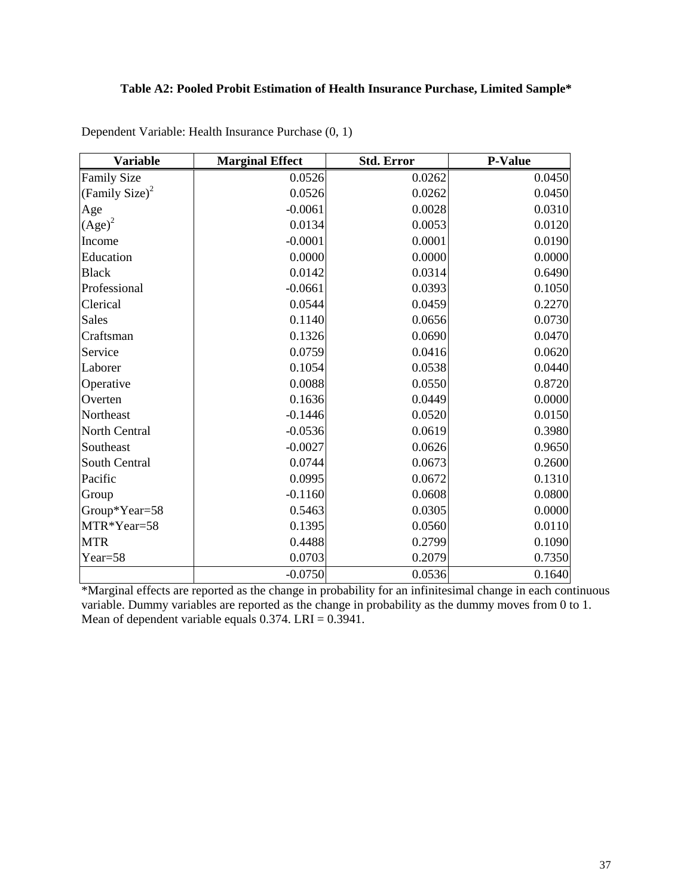### **Table A2: Pooled Probit Estimation of Health Insurance Purchase, Limited Sample\***

| <b>Variable</b>    | <b>Marginal Effect</b> | <b>Std. Error</b> | <b>P-Value</b> |
|--------------------|------------------------|-------------------|----------------|
| <b>Family Size</b> | 0.0526                 | 0.0262            | 0.0450         |
| $(Family Size)^2$  | 0.0526                 | 0.0262            | 0.0450         |
| Age                | $-0.0061$              | 0.0028            | 0.0310         |
| $(Age)^2$          | 0.0134                 | 0.0053            | 0.0120         |
| Income             | $-0.0001$              | 0.0001            | 0.0190         |
| Education          | 0.0000                 | 0.0000            | 0.0000         |
| <b>Black</b>       | 0.0142                 | 0.0314            | 0.6490         |
| Professional       | $-0.0661$              | 0.0393            | 0.1050         |
| Clerical           | 0.0544                 | 0.0459            | 0.2270         |
| <b>Sales</b>       | 0.1140                 | 0.0656            | 0.0730         |
| Craftsman          | 0.1326                 | 0.0690            | 0.0470         |
| Service            | 0.0759                 | 0.0416            | 0.0620         |
| Laborer            | 0.1054                 | 0.0538            | 0.0440         |
| Operative          | 0.0088                 | 0.0550            | 0.8720         |
| Overten            | 0.1636                 | 0.0449            | 0.0000         |
| Northeast          | $-0.1446$              | 0.0520            | 0.0150         |
| North Central      | $-0.0536$              | 0.0619            | 0.3980         |
| Southeast          | $-0.0027$              | 0.0626            | 0.9650         |
| South Central      | 0.0744                 | 0.0673            | 0.2600         |
| Pacific            | 0.0995                 | 0.0672            | 0.1310         |
| Group              | $-0.1160$              | 0.0608            | 0.0800         |
| Group*Year=58      | 0.5463                 | 0.0305            | 0.0000         |
| MTR*Year=58        | 0.1395                 | 0.0560            | 0.0110         |
| <b>MTR</b>         | 0.4488                 | 0.2799            | 0.1090         |
| Year= $58$         | 0.0703                 | 0.2079            | 0.7350         |
|                    | $-0.0750$              | 0.0536            | 0.1640         |

Dependent Variable: Health Insurance Purchase (0, 1)

\*Marginal effects are reported as the change in probability for an infinitesimal change in each continuous variable. Dummy variables are reported as the change in probability as the dummy moves from 0 to 1. Mean of dependent variable equals  $0.374$ . LRI =  $0.3941$ .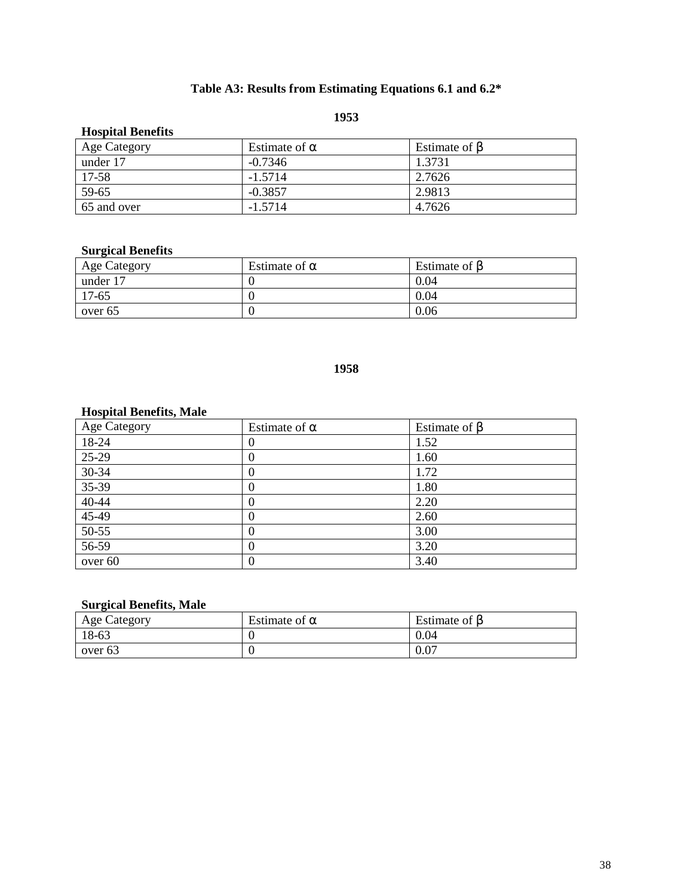# **Table A3: Results from Estimating Equations 6.1 and 6.2\***

### **1953**

| <b>Hospital Benefits</b> |                      |                     |
|--------------------------|----------------------|---------------------|
| <b>Age Category</b>      | Estimate of $\alpha$ | Estimate of $\beta$ |
| under 17                 | $-0.7346$            | 1.3731              |
| 17-58                    | $-1.5714$            | 2.7626              |
| $59-65$                  | $-0.3857$            | 2.9813              |
| 65 and over              | $-1.5714$            | 4.7626              |

### **Surgical Benefits**

| <b>Age Category</b> | Estimate of $\alpha$ | Estimate of $\beta$ |
|---------------------|----------------------|---------------------|
| under 17            |                      | 0.04                |
| $17 - 65$           |                      | 0.04                |
| over 65             |                      | 0.06                |

#### **1958**

### **Hospital Benefits, Male**

| <b>Age Category</b> | Estimate of $\alpha$ | Estimate of $\beta$ |
|---------------------|----------------------|---------------------|
| 18-24               | $\theta$             | 1.52                |
| 25-29               | 0                    | 1.60                |
| 30-34               | $\theta$             | 1.72                |
| 35-39               | $\theta$             | 1.80                |
| $40 - 44$           | $\theta$             | 2.20                |
| 45-49               | $\theta$             | 2.60                |
| 50-55               | $\theta$             | 3.00                |
| 56-59               | $\theta$             | 3.20                |
| over 60             | 0                    | 3.40                |

## **Surgical Benefits, Male**

| Age Category | Estimate of $\alpha$ | Estimate of $\beta$ |
|--------------|----------------------|---------------------|
| 18-63        |                      | 0.04                |
| over 63      |                      | 0.07                |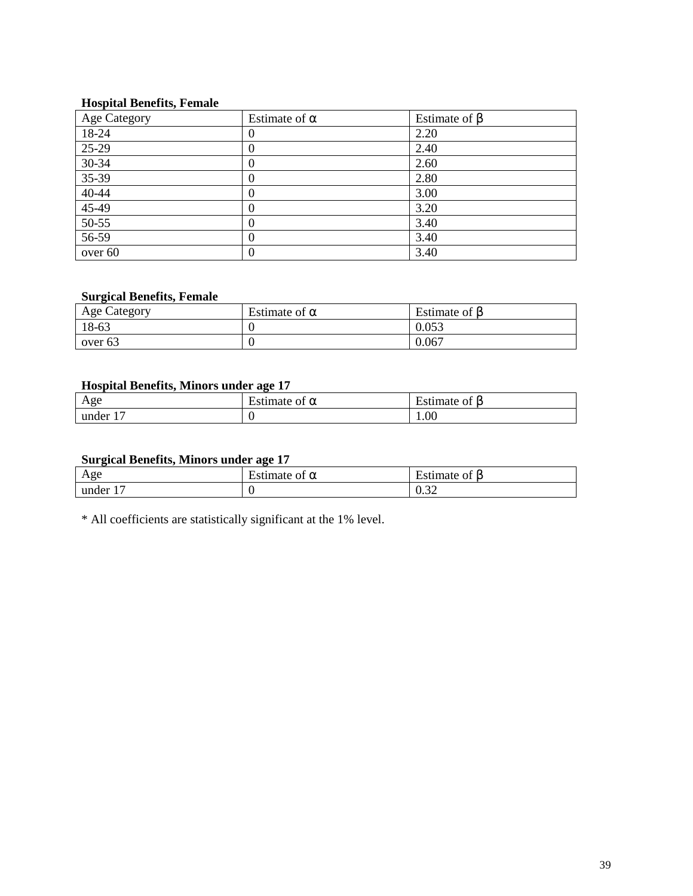#### **Hospital Benefits, Female**

| $\overline{\phantom{a}}$<br><b>Age Category</b> | Estimate of $\alpha$ | Estimate of $\beta$ |
|-------------------------------------------------|----------------------|---------------------|
| 18-24                                           | 0                    | 2.20                |
| 25-29                                           | $\theta$             | 2.40                |
| 30-34                                           | 0                    | 2.60                |
| 35-39                                           | 0                    | 2.80                |
| 40-44                                           | 0                    | 3.00                |
| 45-49                                           | 0                    | 3.20                |
| $50-55$                                         | 0                    | 3.40                |
| 56-59                                           | 0                    | 3.40                |
| over 60                                         | 0                    | 3.40                |

### **Surgical Benefits, Female**

| o<br><b>Age Category</b> | Estimate of $\alpha$ | Estimate of $\beta$ |
|--------------------------|----------------------|---------------------|
| 18-63                    |                      | 0.053               |
| over 63                  |                      | 0.067               |

### **Hospital Benefits, Minors under age 17**

| Age<br>. .      | $\sim$<br>∽<br>Estimate of $\alpha$ | f ß<br>stimate of |
|-----------------|-------------------------------------|-------------------|
| $\sim$<br>under |                                     | 1.00              |

### **Surgical Benefits, Minors under age 17**

| Age             | . .<br>$\blacksquare$<br>of $\alpha$<br>HST<br>timate. | ΟÌ<br>tımate<br>Ľ |
|-----------------|--------------------------------------------------------|-------------------|
| $\sim$<br>under |                                                        | $\sim$<br>∪.∪∠    |

\* All coefficients are statistically significant at the 1% level.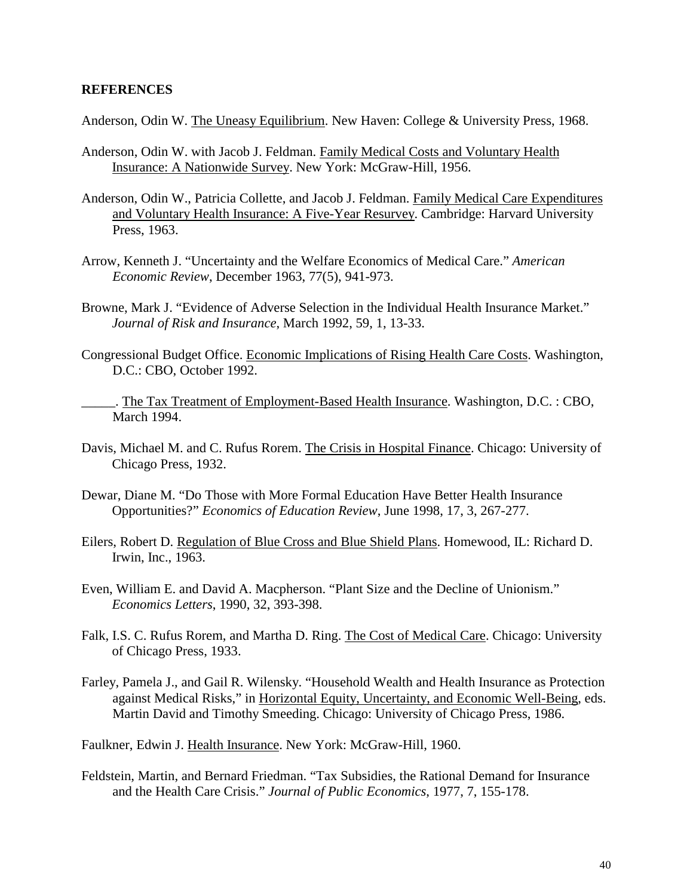### **REFERENCES**

Anderson, Odin W. The Uneasy Equilibrium. New Haven: College & University Press, 1968.

- Anderson, Odin W. with Jacob J. Feldman. Family Medical Costs and Voluntary Health Insurance: A Nationwide Survey. New York: McGraw-Hill, 1956.
- Anderson, Odin W., Patricia Collette, and Jacob J. Feldman. Family Medical Care Expenditures and Voluntary Health Insurance: A Five-Year Resurvey. Cambridge: Harvard University Press, 1963.
- Arrow, Kenneth J. "Uncertainty and the Welfare Economics of Medical Care." *American Economic Review*, December 1963, 77(5), 941-973.
- Browne, Mark J. "Evidence of Adverse Selection in the Individual Health Insurance Market." *Journal of Risk and Insurance*, March 1992, 59, 1, 13-33.
- Congressional Budget Office. Economic Implications of Rising Health Care Costs. Washington, D.C.: CBO, October 1992.
	- \_\_\_\_\_. The Tax Treatment of Employment-Based Health Insurance. Washington, D.C. : CBO, March 1994.
- Davis, Michael M. and C. Rufus Rorem. The Crisis in Hospital Finance. Chicago: University of Chicago Press, 1932.
- Dewar, Diane M. "Do Those with More Formal Education Have Better Health Insurance Opportunities?" *Economics of Education Review*, June 1998, 17, 3, 267-277.
- Eilers, Robert D. Regulation of Blue Cross and Blue Shield Plans. Homewood, IL: Richard D. Irwin, Inc., 1963.
- Even, William E. and David A. Macpherson. "Plant Size and the Decline of Unionism." *Economics Letters*, 1990, 32, 393-398.
- Falk, I.S. C. Rufus Rorem, and Martha D. Ring. The Cost of Medical Care. Chicago: University of Chicago Press, 1933.
- Farley, Pamela J., and Gail R. Wilensky. "Household Wealth and Health Insurance as Protection against Medical Risks," in Horizontal Equity, Uncertainty, and Economic Well-Being, eds. Martin David and Timothy Smeeding. Chicago: University of Chicago Press, 1986.

Faulkner, Edwin J. Health Insurance. New York: McGraw-Hill, 1960.

Feldstein, Martin, and Bernard Friedman. "Tax Subsidies, the Rational Demand for Insurance and the Health Care Crisis." *Journal of Public Economics*, 1977, 7, 155-178.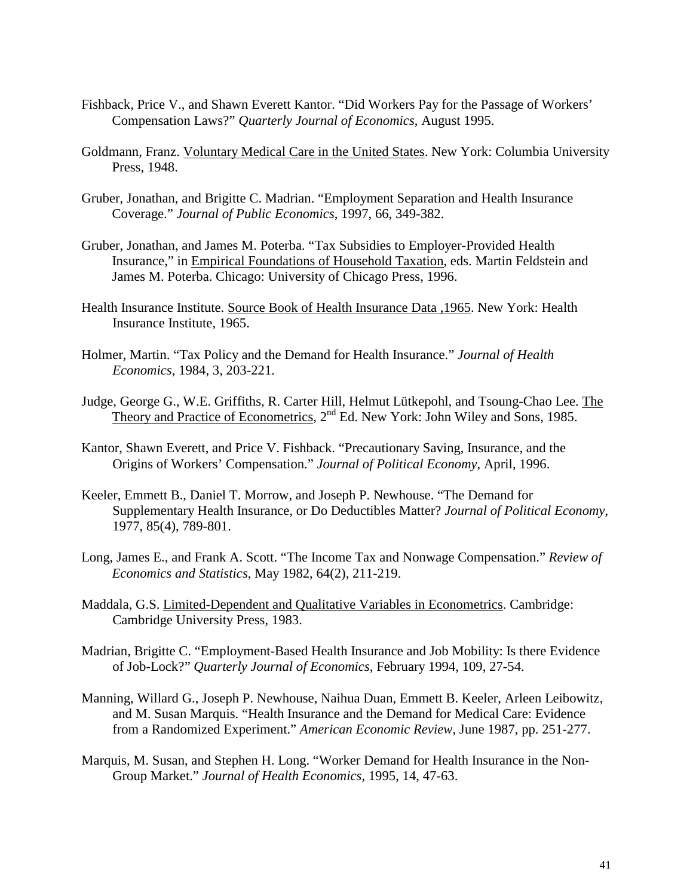- Fishback, Price V., and Shawn Everett Kantor. "Did Workers Pay for the Passage of Workers' Compensation Laws?" *Quarterly Journal of Economics*, August 1995.
- Goldmann, Franz. Voluntary Medical Care in the United States. New York: Columbia University Press, 1948.
- Gruber, Jonathan, and Brigitte C. Madrian. "Employment Separation and Health Insurance Coverage." *Journal of Public Economics*, 1997, 66, 349-382.
- Gruber, Jonathan, and James M. Poterba. "Tax Subsidies to Employer-Provided Health Insurance," in Empirical Foundations of Household Taxation, eds. Martin Feldstein and James M. Poterba. Chicago: University of Chicago Press, 1996.
- Health Insurance Institute. Source Book of Health Insurance Data ,1965. New York: Health Insurance Institute, 1965.
- Holmer, Martin. "Tax Policy and the Demand for Health Insurance." *Journal of Health Economics*, 1984, 3, 203-221.
- Judge, George G., W.E. Griffiths, R. Carter Hill, Helmut Lütkepohl, and Tsoung-Chao Lee. The Theory and Practice of Econometrics, 2<sup>nd</sup> Ed. New York: John Wiley and Sons, 1985.
- Kantor, Shawn Everett, and Price V. Fishback. "Precautionary Saving, Insurance, and the Origins of Workers' Compensation." *Journal of Political Economy*, April, 1996.
- Keeler, Emmett B., Daniel T. Morrow, and Joseph P. Newhouse. "The Demand for Supplementary Health Insurance, or Do Deductibles Matter? *Journal of Political Economy*, 1977, 85(4), 789-801.
- Long, James E., and Frank A. Scott. "The Income Tax and Nonwage Compensation." *Review of Economics and Statistics*, May 1982, 64(2), 211-219.
- Maddala, G.S. Limited-Dependent and Qualitative Variables in Econometrics. Cambridge: Cambridge University Press, 1983.
- Madrian, Brigitte C. "Employment-Based Health Insurance and Job Mobility: Is there Evidence of Job-Lock?" *Quarterly Journal of Economics*, February 1994, 109, 27-54.
- Manning, Willard G., Joseph P. Newhouse, Naihua Duan, Emmett B. Keeler, Arleen Leibowitz, and M. Susan Marquis. "Health Insurance and the Demand for Medical Care: Evidence from a Randomized Experiment." *American Economic Review*, June 1987, pp. 251-277.
- Marquis, M. Susan, and Stephen H. Long. "Worker Demand for Health Insurance in the Non-Group Market." *Journal of Health Economics*, 1995, 14, 47-63.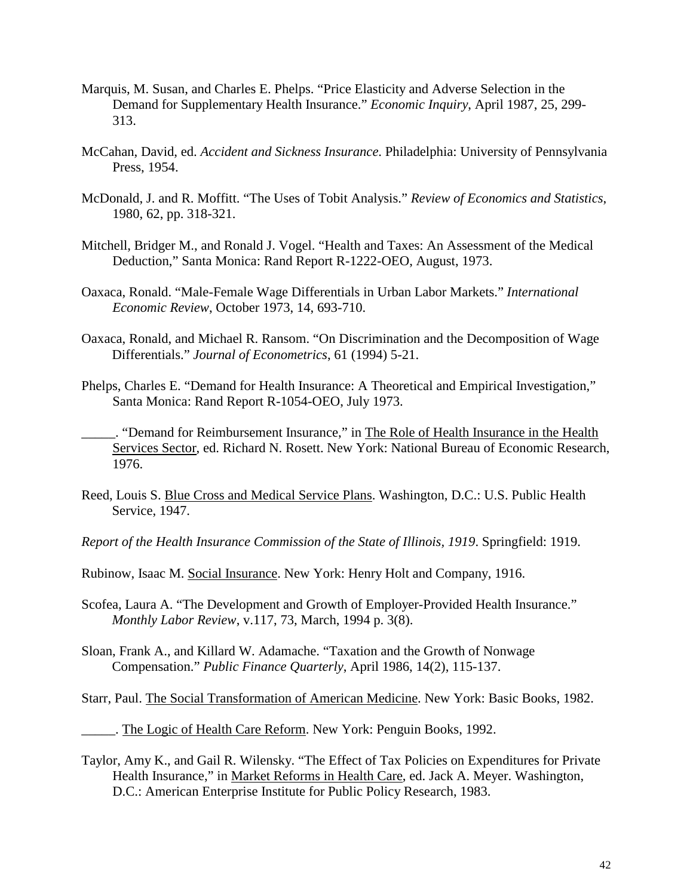- Marquis, M. Susan, and Charles E. Phelps. "Price Elasticity and Adverse Selection in the Demand for Supplementary Health Insurance." *Economic Inquiry*, April 1987, 25, 299- 313.
- McCahan, David, ed. *Accident and Sickness Insurance*. Philadelphia: University of Pennsylvania Press, 1954.
- McDonald, J. and R. Moffitt. "The Uses of Tobit Analysis." *Review of Economics and Statistics*, 1980, 62, pp. 318-321.
- Mitchell, Bridger M., and Ronald J. Vogel. "Health and Taxes: An Assessment of the Medical Deduction," Santa Monica: Rand Report R-1222-OEO, August, 1973.
- Oaxaca, Ronald. "Male-Female Wage Differentials in Urban Labor Markets." *International Economic Review*, October 1973, 14, 693-710.
- Oaxaca, Ronald, and Michael R. Ransom. "On Discrimination and the Decomposition of Wage Differentials." *Journal of Econometrics*, 61 (1994) 5-21.
- Phelps, Charles E. "Demand for Health Insurance: A Theoretical and Empirical Investigation," Santa Monica: Rand Report R-1054-OEO, July 1973.
- \_\_\_\_\_. "Demand for Reimbursement Insurance," in The Role of Health Insurance in the Health Services Sector, ed. Richard N. Rosett. New York: National Bureau of Economic Research, 1976.
- Reed, Louis S. Blue Cross and Medical Service Plans. Washington, D.C.: U.S. Public Health Service, 1947.

*Report of the Health Insurance Commission of the State of Illinois, 1919*. Springfield: 1919.

Rubinow, Isaac M. Social Insurance. New York: Henry Holt and Company, 1916.

Scofea, Laura A. "The Development and Growth of Employer-Provided Health Insurance." *Monthly Labor Review*, v.117, 73, March, 1994 p. 3(8).

Sloan, Frank A., and Killard W. Adamache. "Taxation and the Growth of Nonwage Compensation." *Public Finance Quarterly*, April 1986, 14(2), 115-137.

Starr, Paul. The Social Transformation of American Medicine. New York: Basic Books, 1982.

. The Logic of Health Care Reform. New York: Penguin Books, 1992.

Taylor, Amy K., and Gail R. Wilensky. "The Effect of Tax Policies on Expenditures for Private Health Insurance," in Market Reforms in Health Care, ed. Jack A. Meyer. Washington, D.C.: American Enterprise Institute for Public Policy Research, 1983.